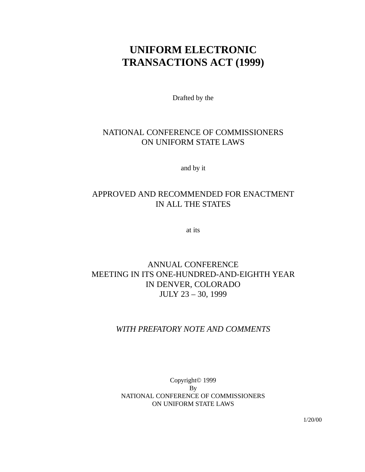Drafted by the

# NATIONAL CONFERENCE OF COMMISSIONERS ON UNIFORM STATE LAWS

and by it

# APPROVED AND RECOMMENDED FOR ENACTMENT IN ALL THE STATES

at its

# ANNUAL CONFERENCE MEETING IN ITS ONE-HUNDRED-AND-EIGHTH YEAR IN DENVER, COLORADO JULY 23 – 30, 1999

# *WITH PREFATORY NOTE AND COMMENTS*

# Copyright© 1999 By NATIONAL CONFERENCE OF COMMISSIONERS ON UNIFORM STATE LAWS

1/20/00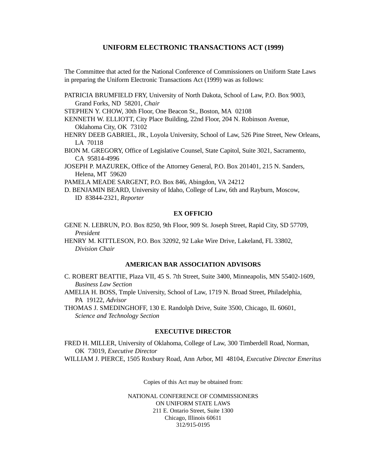The Committee that acted for the National Conference of Commissioners on Uniform State Laws in preparing the Uniform Electronic Transactions Act (1999) was as follows:

PATRICIA BRUMFIELD FRY, University of North Dakota, School of Law, P.O. Box 9003, Grand Forks, ND 58201, *Chair*

STEPHEN Y. CHOW, 30th Floor, One Beacon St., Boston, MA 02108

KENNETH W. ELLIOTT, City Place Building, 22nd Floor, 204 N. Robinson Avenue, Oklahoma City, OK 73102

HENRY DEEB GABRIEL, JR., Loyola University, School of Law, 526 Pine Street, New Orleans, LA 70118

BION M. GREGORY, Office of Legislative Counsel, State Capitol, Suite 3021, Sacramento, CA 95814-4996

JOSEPH P. MAZUREK, Office of the Attorney General, P.O. Box 201401, 215 N. Sanders, Helena, MT 59620

PAMELA MEADE SARGENT, P.O. Box 846, Abingdon, VA 24212

D. BENJAMIN BEARD, University of Idaho, College of Law, 6th and Rayburn, Moscow, ID 83844-2321, *Reporter*

#### **EX OFFICIO**

GENE N. LEBRUN, P.O. Box 8250, 9th Floor, 909 St. Joseph Street, Rapid City, SD 57709, *President*

HENRY M. KITTLESON, P.O. Box 32092, 92 Lake Wire Drive, Lakeland, FL 33802, *Division Chair*

#### **AMERICAN BAR ASSOCIATION ADVISORS**

C. ROBERT BEATTIE, Plaza VII, 45 S. 7th Street, Suite 3400, Minneapolis, MN 55402-1609, *Business Law Section*

AMELIA H. BOSS, Tmple University, School of Law, 1719 N. Broad Street, Philadelphia, PA 19122, *Advisor*

THOMAS J. SMEDINGHOFF, 130 E. Randolph Drive, Suite 3500, Chicago, IL 60601, *Science and Technology Section*

# **EXECUTIVE DIRECTOR**

FRED H. MILLER, University of Oklahoma, College of Law, 300 Timberdell Road, Norman, OK 73019, *Executive Director* WILLIAM J. PIERCE, 1505 Roxbury Road, Ann Arbor, MI 48104, *Executive Director Emeritus*

Copies of this Act may be obtained from:

NATIONAL CONFERENCE OF COMMISSIONERS ON UNIFORM STATE LAWS 211 E. Ontario Street, Suite 1300 Chicago, Illinois 60611 312/915-0195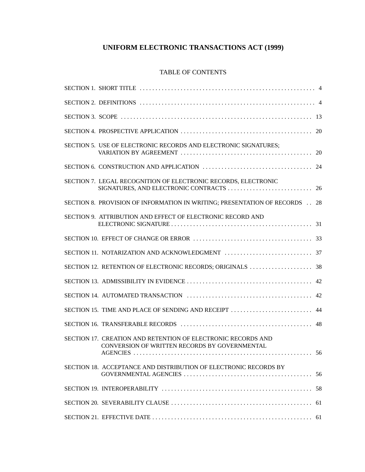# TABLE OF CONTENTS

| SECTION 5. USE OF ELECTRONIC RECORDS AND ELECTRONIC SIGNATURES;                                               |
|---------------------------------------------------------------------------------------------------------------|
|                                                                                                               |
| SECTION 7. LEGAL RECOGNITION OF ELECTRONIC RECORDS, ELECTRONIC                                                |
| SECTION 8. PROVISION OF INFORMATION IN WRITING; PRESENTATION OF RECORDS 28                                    |
| SECTION 9. ATTRIBUTION AND EFFECT OF ELECTRONIC RECORD AND                                                    |
|                                                                                                               |
|                                                                                                               |
|                                                                                                               |
|                                                                                                               |
|                                                                                                               |
| SECTION 15. TIME AND PLACE OF SENDING AND RECEIPT  44                                                         |
|                                                                                                               |
| SECTION 17. CREATION AND RETENTION OF ELECTRONIC RECORDS AND<br>CONVERSION OF WRITTEN RECORDS BY GOVERNMENTAL |
| SECTION 18. ACCEPTANCE AND DISTRIBUTION OF ELECTRONIC RECORDS BY                                              |
|                                                                                                               |
|                                                                                                               |
|                                                                                                               |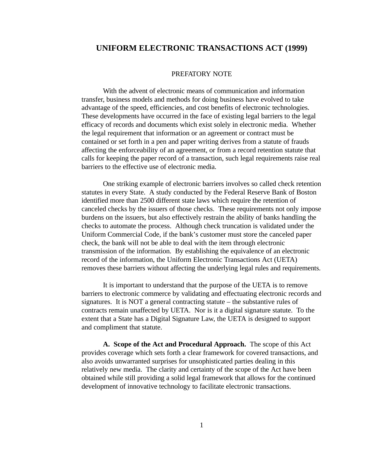#### PREFATORY NOTE

With the advent of electronic means of communication and information transfer, business models and methods for doing business have evolved to take advantage of the speed, efficiencies, and cost benefits of electronic technologies. These developments have occurred in the face of existing legal barriers to the legal efficacy of records and documents which exist solely in electronic media. Whether the legal requirement that information or an agreement or contract must be contained or set forth in a pen and paper writing derives from a statute of frauds affecting the enforceability of an agreement, or from a record retention statute that calls for keeping the paper record of a transaction, such legal requirements raise real barriers to the effective use of electronic media.

One striking example of electronic barriers involves so called check retention statutes in every State. A study conducted by the Federal Reserve Bank of Boston identified more than 2500 different state laws which require the retention of canceled checks by the issuers of those checks. These requirements not only impose burdens on the issuers, but also effectively restrain the ability of banks handling the checks to automate the process. Although check truncation is validated under the Uniform Commercial Code, if the bank's customer must store the canceled paper check, the bank will not be able to deal with the item through electronic transmission of the information. By establishing the equivalence of an electronic record of the information, the Uniform Electronic Transactions Act (UETA) removes these barriers without affecting the underlying legal rules and requirements.

It is important to understand that the purpose of the UETA is to remove barriers to electronic commerce by validating and effectuating electronic records and signatures. It is NOT a general contracting statute – the substantive rules of contracts remain unaffected by UETA. Nor is it a digital signature statute. To the extent that a State has a Digital Signature Law, the UETA is designed to support and compliment that statute.

**A. Scope of the Act and Procedural Approach.** The scope of this Act provides coverage which sets forth a clear framework for covered transactions, and also avoids unwarranted surprises for unsophisticated parties dealing in this relatively new media. The clarity and certainty of the scope of the Act have been obtained while still providing a solid legal framework that allows for the continued development of innovative technology to facilitate electronic transactions.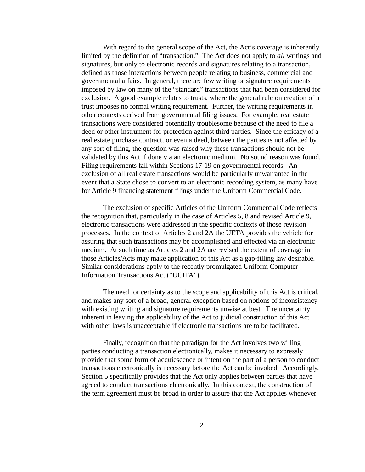With regard to the general scope of the Act, the Act's coverage is inherently limited by the definition of "transaction." The Act does not apply to *all* writings and signatures, but only to electronic records and signatures relating to a transaction, defined as those interactions between people relating to business, commercial and governmental affairs. In general, there are few writing or signature requirements imposed by law on many of the "standard" transactions that had been considered for exclusion. A good example relates to trusts, where the general rule on creation of a trust imposes no formal writing requirement. Further, the writing requirements in other contexts derived from governmental filing issues. For example, real estate transactions were considered potentially troublesome because of the need to file a deed or other instrument for protection against third parties. Since the efficacy of a real estate purchase contract, or even a deed, between the parties is not affected by any sort of filing, the question was raised why these transactions should not be validated by this Act if done via an electronic medium. No sound reason was found. Filing requirements fall within Sections 17-19 on governmental records. An exclusion of all real estate transactions would be particularly unwarranted in the event that a State chose to convert to an electronic recording system, as many have for Article 9 financing statement filings under the Uniform Commercial Code.

The exclusion of specific Articles of the Uniform Commercial Code reflects the recognition that, particularly in the case of Articles 5, 8 and revised Article 9, electronic transactions were addressed in the specific contexts of those revision processes. In the context of Articles 2 and 2A the UETA provides the vehicle for assuring that such transactions may be accomplished and effected via an electronic medium. At such time as Articles 2 and 2A are revised the extent of coverage in those Articles/Acts may make application of this Act as a gap-filling law desirable. Similar considerations apply to the recently promulgated Uniform Computer Information Transactions Act ("UCITA").

The need for certainty as to the scope and applicability of this Act is critical, and makes any sort of a broad, general exception based on notions of inconsistency with existing writing and signature requirements unwise at best. The uncertainty inherent in leaving the applicability of the Act to judicial construction of this Act with other laws is unacceptable if electronic transactions are to be facilitated.

Finally, recognition that the paradigm for the Act involves two willing parties conducting a transaction electronically, makes it necessary to expressly provide that some form of acquiescence or intent on the part of a person to conduct transactions electronically is necessary before the Act can be invoked. Accordingly, Section 5 specifically provides that the Act only applies between parties that have agreed to conduct transactions electronically. In this context, the construction of the term agreement must be broad in order to assure that the Act applies whenever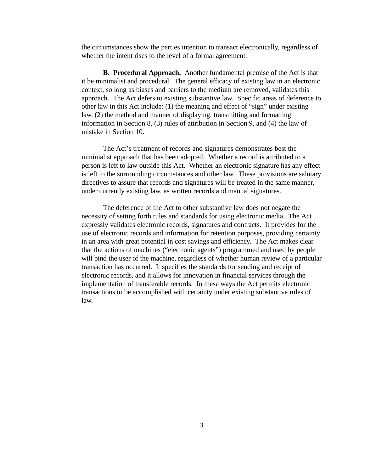the circumstances show the parties intention to transact electronically, regardless of whether the intent rises to the level of a formal agreement.

**B. Procedural Approach.** Another fundamental premise of the Act is that it be minimalist and procedural. The general efficacy of existing law in an electronic context, so long as biases and barriers to the medium are removed, validates this approach. The Act defers to existing substantive law. Specific areas of deference to other law in this Act include: (1) the meaning and effect of "sign" under existing law, (2) the method and manner of displaying, transmitting and formatting information in Section 8, (3) rules of attribution in Section 9, and (4) the law of mistake in Section 10.

The Act's treatment of records and signatures demonstrates best the minimalist approach that has been adopted. Whether a record is attributed to a person is left to law outside this Act. Whether an electronic signature has any effect is left to the surrounding circumstances and other law. These provisions are salutary directives to assure that records and signatures will be treated in the same manner, under currently existing law, as written records and manual signatures.

The deference of the Act to other substantive law does not negate the necessity of setting forth rules and standards for using electronic media. The Act expressly validates electronic records, signatures and contracts. It provides for the use of electronic records and information for retention purposes, providing certainty in an area with great potential in cost savings and efficiency. The Act makes clear that the actions of machines ("electronic agents") programmed and used by people will bind the user of the machine, regardless of whether human review of a particular transaction has occurred. It specifies the standards for sending and receipt of electronic records, and it allows for innovation in financial services through the implementation of transferable records. In these ways the Act permits electronic transactions to be accomplished with certainty under existing substantive rules of law.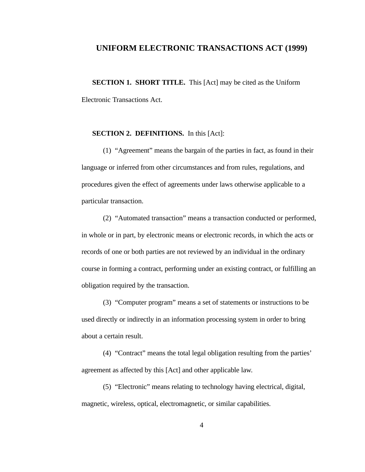**SECTION 1. SHORT TITLE.** This [Act] may be cited as the Uniform Electronic Transactions Act.

#### **SECTION 2. DEFINITIONS.** In this [Act]:

(1) "Agreement" means the bargain of the parties in fact, as found in their language or inferred from other circumstances and from rules, regulations, and procedures given the effect of agreements under laws otherwise applicable to a particular transaction.

(2) "Automated transaction" means a transaction conducted or performed, in whole or in part, by electronic means or electronic records, in which the acts or records of one or both parties are not reviewed by an individual in the ordinary course in forming a contract, performing under an existing contract, or fulfilling an obligation required by the transaction.

(3) "Computer program" means a set of statements or instructions to be used directly or indirectly in an information processing system in order to bring about a certain result.

(4) "Contract" means the total legal obligation resulting from the parties' agreement as affected by this [Act] and other applicable law.

(5) "Electronic" means relating to technology having electrical, digital, magnetic, wireless, optical, electromagnetic, or similar capabilities.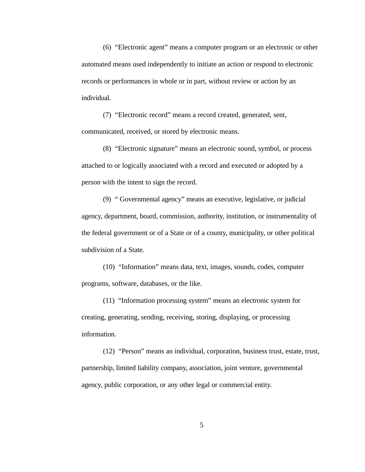(6) "Electronic agent" means a computer program or an electronic or other automated means used independently to initiate an action or respond to electronic records or performances in whole or in part, without review or action by an individual.

(7) "Electronic record" means a record created, generated, sent, communicated, received, or stored by electronic means.

(8) "Electronic signature" means an electronic sound, symbol, or process attached to or logically associated with a record and executed or adopted by a person with the intent to sign the record.

(9) " Governmental agency" means an executive, legislative, or judicial agency, department, board, commission, authority, institution, or instrumentality of the federal government or of a State or of a county, municipality, or other political subdivision of a State.

(10) "Information" means data, text, images, sounds, codes, computer programs, software, databases, or the like.

(11) "Information processing system" means an electronic system for creating, generating, sending, receiving, storing, displaying, or processing information.

(12) "Person" means an individual, corporation, business trust, estate, trust, partnership, limited liability company, association, joint venture, governmental agency, public corporation, or any other legal or commercial entity.

5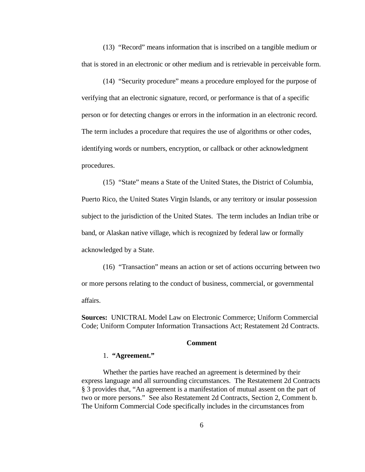(13) "Record" means information that is inscribed on a tangible medium or that is stored in an electronic or other medium and is retrievable in perceivable form.

(14) "Security procedure" means a procedure employed for the purpose of verifying that an electronic signature, record, or performance is that of a specific person or for detecting changes or errors in the information in an electronic record. The term includes a procedure that requires the use of algorithms or other codes, identifying words or numbers, encryption, or callback or other acknowledgment procedures.

(15) "State" means a State of the United States, the District of Columbia, Puerto Rico, the United States Virgin Islands, or any territory or insular possession subject to the jurisdiction of the United States. The term includes an Indian tribe or band, or Alaskan native village, which is recognized by federal law or formally acknowledged by a State.

(16) "Transaction" means an action or set of actions occurring between two or more persons relating to the conduct of business, commercial, or governmental affairs.

**Sources:** UNICTRAL Model Law on Electronic Commerce; Uniform Commercial Code; Uniform Computer Information Transactions Act; Restatement 2d Contracts.

# **Comment**

# 1. **"Agreement."**

Whether the parties have reached an agreement is determined by their express language and all surrounding circumstances. The Restatement 2d Contracts § 3 provides that, "An agreement is a manifestation of mutual assent on the part of two or more persons." See also Restatement 2d Contracts, Section 2, Comment b. The Uniform Commercial Code specifically includes in the circumstances from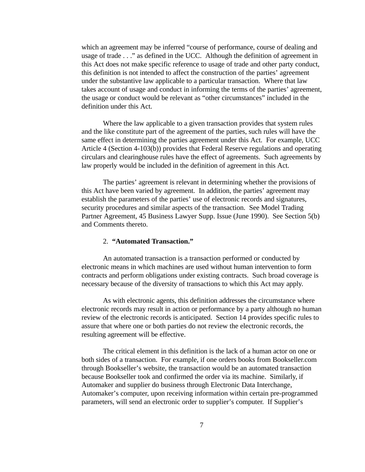which an agreement may be inferred "course of performance, course of dealing and usage of trade . . ." as defined in the UCC. Although the definition of agreement in this Act does not make specific reference to usage of trade and other party conduct, this definition is not intended to affect the construction of the parties' agreement under the substantive law applicable to a particular transaction. Where that law takes account of usage and conduct in informing the terms of the parties' agreement, the usage or conduct would be relevant as "other circumstances" included in the definition under this Act.

Where the law applicable to a given transaction provides that system rules and the like constitute part of the agreement of the parties, such rules will have the same effect in determining the parties agreement under this Act. For example, UCC Article 4 (Section 4-103(b)) provides that Federal Reserve regulations and operating circulars and clearinghouse rules have the effect of agreements. Such agreements by law properly would be included in the definition of agreement in this Act.

The parties' agreement is relevant in determining whether the provisions of this Act have been varied by agreement. In addition, the parties' agreement may establish the parameters of the parties' use of electronic records and signatures, security procedures and similar aspects of the transaction. See Model Trading Partner Agreement, 45 Business Lawyer Supp. Issue (June 1990). See Section 5(b) and Comments thereto.

# 2. **"Automated Transaction."**

An automated transaction is a transaction performed or conducted by electronic means in which machines are used without human intervention to form contracts and perform obligations under existing contracts. Such broad coverage is necessary because of the diversity of transactions to which this Act may apply.

As with electronic agents, this definition addresses the circumstance where electronic records may result in action or performance by a party although no human review of the electronic records is anticipated. Section 14 provides specific rules to assure that where one or both parties do not review the electronic records, the resulting agreement will be effective.

The critical element in this definition is the lack of a human actor on one or both sides of a transaction. For example, if one orders books from Bookseller.com through Bookseller's website, the transaction would be an automated transaction because Bookseller took and confirmed the order via its machine. Similarly, if Automaker and supplier do business through Electronic Data Interchange, Automaker's computer, upon receiving information within certain pre-programmed parameters, will send an electronic order to supplier's computer. If Supplier's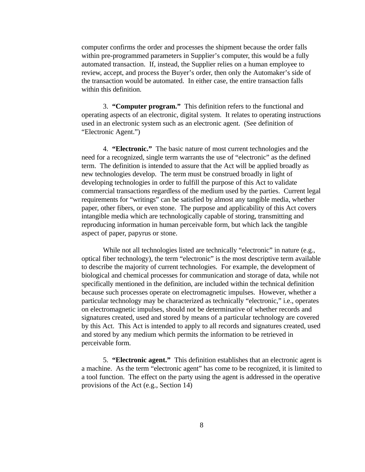computer confirms the order and processes the shipment because the order falls within pre-programmed parameters in Supplier's computer, this would be a fully automated transaction. If, instead, the Supplier relies on a human employee to review, accept, and process the Buyer's order, then only the Automaker's side of the transaction would be automated. In either case, the entire transaction falls within this definition.

3. **"Computer program."** This definition refers to the functional and operating aspects of an electronic, digital system. It relates to operating instructions used in an electronic system such as an electronic agent. (See definition of "Electronic Agent.")

4. **"Electronic."** The basic nature of most current technologies and the need for a recognized, single term warrants the use of "electronic" as the defined term. The definition is intended to assure that the Act will be applied broadly as new technologies develop. The term must be construed broadly in light of developing technologies in order to fulfill the purpose of this Act to validate commercial transactions regardless of the medium used by the parties. Current legal requirements for "writings" can be satisfied by almost any tangible media, whether paper, other fibers, or even stone. The purpose and applicability of this Act covers intangible media which are technologically capable of storing, transmitting and reproducing information in human perceivable form, but which lack the tangible aspect of paper, papyrus or stone.

While not all technologies listed are technically "electronic" in nature (e.g., optical fiber technology), the term "electronic" is the most descriptive term available to describe the majority of current technologies. For example, the development of biological and chemical processes for communication and storage of data, while not specifically mentioned in the definition, are included within the technical definition because such processes operate on electromagnetic impulses. However, whether a particular technology may be characterized as technically "electronic," i.e., operates on electromagnetic impulses, should not be determinative of whether records and signatures created, used and stored by means of a particular technology are covered by this Act. This Act is intended to apply to all records and signatures created, used and stored by any medium which permits the information to be retrieved in perceivable form.

5. **"Electronic agent."** This definition establishes that an electronic agent is a machine. As the term "electronic agent" has come to be recognized, it is limited to a tool function. The effect on the party using the agent is addressed in the operative provisions of the Act (e.g., Section 14)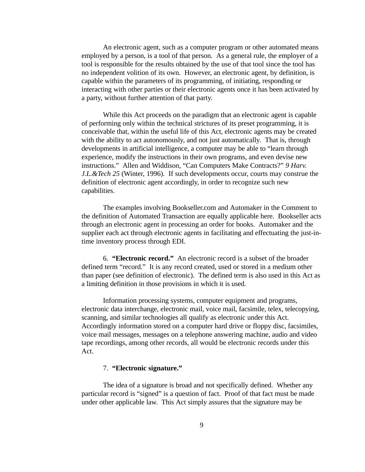An electronic agent, such as a computer program or other automated means employed by a person, is a tool of that person. As a general rule, the employer of a tool is responsible for the results obtained by the use of that tool since the tool has no independent volition of its own. However, an electronic agent, by definition, is capable within the parameters of its programming, of initiating, responding or interacting with other parties or their electronic agents once it has been activated by a party, without further attention of that party.

While this Act proceeds on the paradigm that an electronic agent is capable of performing only within the technical strictures of its preset programming, it is conceivable that, within the useful life of this Act, electronic agents may be created with the ability to act autonomously, and not just automatically. That is, through developments in artificial intelligence, a computer may be able to "learn through experience, modify the instructions in their own programs, and even devise new instructions." Allen and Widdison, "Can Computers Make Contracts?" *9 Harv. J.L.&Tech 25* (Winter, 1996). If such developments occur, courts may construe the definition of electronic agent accordingly, in order to recognize such new capabilities.

The examples involving Bookseller.com and Automaker in the Comment to the definition of Automated Transaction are equally applicable here. Bookseller acts through an electronic agent in processing an order for books. Automaker and the supplier each act through electronic agents in facilitating and effectuating the just-intime inventory process through EDI.

6. **"Electronic record."** An electronic record is a subset of the broader defined term "record." It is any record created, used or stored in a medium other than paper (see definition of electronic). The defined term is also used in this Act as a limiting definition in those provisions in which it is used.

Information processing systems, computer equipment and programs, electronic data interchange, electronic mail, voice mail, facsimile, telex, telecopying, scanning, and similar technologies all qualify as electronic under this Act. Accordingly information stored on a computer hard drive or floppy disc, facsimiles, voice mail messages, messages on a telephone answering machine, audio and video tape recordings, among other records, all would be electronic records under this Act.

# 7. **"Electronic signature."**

The idea of a signature is broad and not specifically defined. Whether any particular record is "signed" is a question of fact. Proof of that fact must be made under other applicable law. This Act simply assures that the signature may be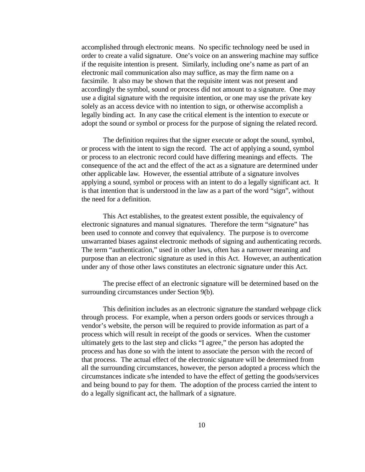accomplished through electronic means. No specific technology need be used in order to create a valid signature. One's voice on an answering machine may suffice if the requisite intention is present. Similarly, including one's name as part of an electronic mail communication also may suffice, as may the firm name on a facsimile. It also may be shown that the requisite intent was not present and accordingly the symbol, sound or process did not amount to a signature. One may use a digital signature with the requisite intention, or one may use the private key solely as an access device with no intention to sign, or otherwise accomplish a legally binding act. In any case the critical element is the intention to execute or adopt the sound or symbol or process for the purpose of signing the related record.

The definition requires that the signer execute or adopt the sound, symbol, or process with the intent to sign the record. The act of applying a sound, symbol or process to an electronic record could have differing meanings and effects. The consequence of the act and the effect of the act as a signature are determined under other applicable law. However, the essential attribute of a signature involves applying a sound, symbol or process with an intent to do a legally significant act. It is that intention that is understood in the law as a part of the word "sign", without the need for a definition.

This Act establishes, to the greatest extent possible, the equivalency of electronic signatures and manual signatures. Therefore the term "signature" has been used to connote and convey that equivalency. The purpose is to overcome unwarranted biases against electronic methods of signing and authenticating records. The term "authentication," used in other laws, often has a narrower meaning and purpose than an electronic signature as used in this Act. However, an authentication under any of those other laws constitutes an electronic signature under this Act.

The precise effect of an electronic signature will be determined based on the surrounding circumstances under Section 9(b).

This definition includes as an electronic signature the standard webpage click through process. For example, when a person orders goods or services through a vendor's website, the person will be required to provide information as part of a process which will result in receipt of the goods or services. When the customer ultimately gets to the last step and clicks "I agree," the person has adopted the process and has done so with the intent to associate the person with the record of that process. The actual effect of the electronic signature will be determined from all the surrounding circumstances, however, the person adopted a process which the circumstances indicate s/he intended to have the effect of getting the goods/services and being bound to pay for them. The adoption of the process carried the intent to do a legally significant act, the hallmark of a signature.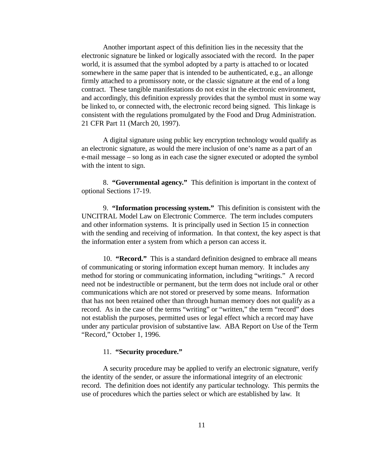Another important aspect of this definition lies in the necessity that the electronic signature be linked or logically associated with the record. In the paper world, it is assumed that the symbol adopted by a party is attached to or located somewhere in the same paper that is intended to be authenticated, e.g., an allonge firmly attached to a promissory note, or the classic signature at the end of a long contract. These tangible manifestations do not exist in the electronic environment, and accordingly, this definition expressly provides that the symbol must in some way be linked to, or connected with, the electronic record being signed. This linkage is consistent with the regulations promulgated by the Food and Drug Administration. 21 CFR Part 11 (March 20, 1997).

A digital signature using public key encryption technology would qualify as an electronic signature, as would the mere inclusion of one's name as a part of an e-mail message – so long as in each case the signer executed or adopted the symbol with the intent to sign.

8. **"Governmental agency."** This definition is important in the context of optional Sections 17-19.

9. **"Information processing system."** This definition is consistent with the UNCITRAL Model Law on Electronic Commerce. The term includes computers and other information systems. It is principally used in Section 15 in connection with the sending and receiving of information. In that context, the key aspect is that the information enter a system from which a person can access it.

10. **"Record."** This is a standard definition designed to embrace all means of communicating or storing information except human memory. It includes any method for storing or communicating information, including "writings." A record need not be indestructible or permanent, but the term does not include oral or other communications which are not stored or preserved by some means. Information that has not been retained other than through human memory does not qualify as a record. As in the case of the terms "writing" or "written," the term "record" does not establish the purposes, permitted uses or legal effect which a record may have under any particular provision of substantive law. ABA Report on Use of the Term "Record," October 1, 1996.

# 11. **"Security procedure."**

A security procedure may be applied to verify an electronic signature, verify the identity of the sender, or assure the informational integrity of an electronic record. The definition does not identify any particular technology. This permits the use of procedures which the parties select or which are established by law. It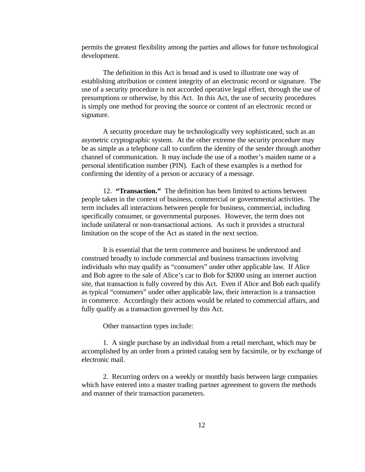permits the greatest flexibility among the parties and allows for future technological development.

The definition in this Act is broad and is used to illustrate one way of establishing attribution or content integrity of an electronic record or signature. The use of a security procedure is not accorded operative legal effect, through the use of presumptions or otherwise, by this Act. In this Act, the use of security procedures is simply one method for proving the source or content of an electronic record or signature.

A security procedure may be technologically very sophisticated, such as an asymetric cryptographic system. At the other extreme the security procedure may be as simple as a telephone call to confirm the identity of the sender through another channel of communication. It may include the use of a mother's maiden name or a personal identification number (PIN). Each of these examples is a method for confirming the identity of a person or accuracy of a message.

12. **"Transaction."** The definition has been limited to actions between people taken in the context of business, commercial or governmental activities. The term includes all interactions between people for business, commercial, including specifically consumer, or governmental purposes. However, the term does not include unilateral or non-transactional actions. As such it provides a structural limitation on the scope of the Act as stated in the next section.

It is essential that the term commerce and business be understood and construed broadly to include commercial and business transactions involving individuals who may qualify as "consumers" under other applicable law. If Alice and Bob agree to the sale of Alice's car to Bob for \$2000 using an internet auction site, that transaction is fully covered by this Act. Even if Alice and Bob each qualify as typical "consumers" under other applicable law, their interaction is a transaction in commerce. Accordingly their actions would be related to commercial affairs, and fully qualify as a transaction governed by this Act.

Other transaction types include:

1. A single purchase by an individual from a retail merchant, which may be accomplished by an order from a printed catalog sent by facsimile, or by exchange of electronic mail.

2. Recurring orders on a weekly or monthly basis between large companies which have entered into a master trading partner agreement to govern the methods and manner of their transaction parameters.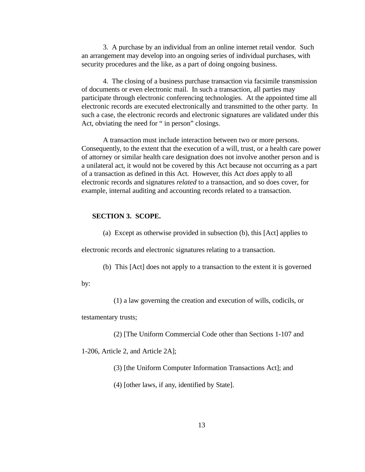3. A purchase by an individual from an online internet retail vendor. Such an arrangement may develop into an ongoing series of individual purchases, with security procedures and the like, as a part of doing ongoing business.

4. The closing of a business purchase transaction via facsimile transmission of documents or even electronic mail. In such a transaction, all parties may participate through electronic conferencing technologies. At the appointed time all electronic records are executed electronically and transmitted to the other party. In such a case, the electronic records and electronic signatures are validated under this Act, obviating the need for " in person" closings.

A transaction must include interaction between two or more persons. Consequently, to the extent that the execution of a will, trust, or a health care power of attorney or similar health care designation does not involve another person and is a unilateral act, it would not be covered by this Act because not occurring as a part of a transaction as defined in this Act. However, this Act *does* apply to all electronic records and signatures *related* to a transaction, and so does cover, for example, internal auditing and accounting records related to a transaction.

# **SECTION 3. SCOPE.**

(a) Except as otherwise provided in subsection (b), this [Act] applies to

electronic records and electronic signatures relating to a transaction.

(b) This [Act] does not apply to a transaction to the extent it is governed

by:

(1) a law governing the creation and execution of wills, codicils, or

testamentary trusts;

(2) [The Uniform Commercial Code other than Sections 1-107 and

1-206, Article 2, and Article 2A];

- (3) [the Uniform Computer Information Transactions Act]; and
- (4) [other laws, if any, identified by State].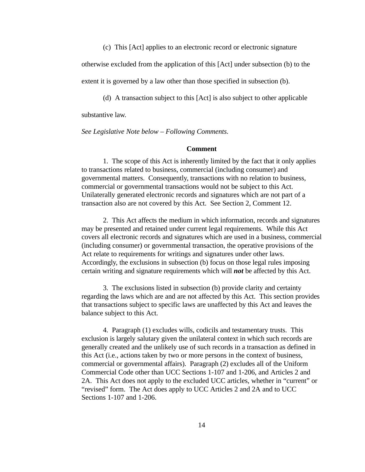(c) This [Act] applies to an electronic record or electronic signature

otherwise excluded from the application of this [Act] under subsection (b) to the extent it is governed by a law other than those specified in subsection (b).

(d) A transaction subject to this [Act] is also subject to other applicable

substantive law.

*See Legislative Note below – Following Comments.*

# **Comment**

1. The scope of this Act is inherently limited by the fact that it only applies to transactions related to business, commercial (including consumer) and governmental matters. Consequently, transactions with no relation to business, commercial or governmental transactions would not be subject to this Act. Unilaterally generated electronic records and signatures which are not part of a transaction also are not covered by this Act. See Section 2, Comment 12.

2. This Act affects the medium in which information, records and signatures may be presented and retained under current legal requirements. While this Act covers all electronic records and signatures which are used in a business, commercial (including consumer) or governmental transaction, the operative provisions of the Act relate to requirements for writings and signatures under other laws. Accordingly, the exclusions in subsection (b) focus on those legal rules imposing certain writing and signature requirements which will *not* be affected by this Act.

3. The exclusions listed in subsection (b) provide clarity and certainty regarding the laws which are and are not affected by this Act. This section provides that transactions subject to specific laws are unaffected by this Act and leaves the balance subject to this Act.

4. Paragraph (1) excludes wills, codicils and testamentary trusts. This exclusion is largely salutary given the unilateral context in which such records are generally created and the unlikely use of such records in a transaction as defined in this Act (i.e., actions taken by two or more persons in the context of business, commercial or governmental affairs). Paragraph (2) excludes all of the Uniform Commercial Code other than UCC Sections 1-107 and 1-206, and Articles 2 and 2A. This Act does not apply to the excluded UCC articles, whether in "current" or "revised" form. The Act does apply to UCC Articles 2 and 2A and to UCC Sections 1-107 and 1-206.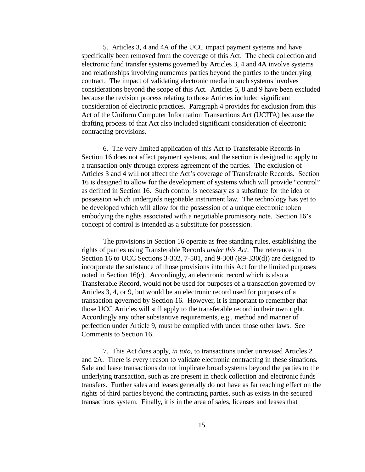5. Articles 3, 4 and 4A of the UCC impact payment systems and have specifically been removed from the coverage of this Act. The check collection and electronic fund transfer systems governed by Articles 3, 4 and 4A involve systems and relationships involving numerous parties beyond the parties to the underlying contract. The impact of validating electronic media in such systems involves considerations beyond the scope of this Act. Articles 5, 8 and 9 have been excluded because the revision process relating to those Articles included significant consideration of electronic practices. Paragraph 4 provides for exclusion from this Act of the Uniform Computer Information Transactions Act (UCITA) because the drafting process of that Act also included significant consideration of electronic contracting provisions.

6. The very limited application of this Act to Transferable Records in Section 16 does not affect payment systems, and the section is designed to apply to a transaction only through express agreement of the parties. The exclusion of Articles 3 and 4 will not affect the Act's coverage of Transferable Records. Section 16 is designed to allow for the development of systems which will provide "control" as defined in Section 16. Such control is necessary as a substitute for the idea of possession which undergirds negotiable instrument law. The technology has yet to be developed which will allow for the possession of a unique electronic token embodying the rights associated with a negotiable promissory note. Section 16's concept of control is intended as a substitute for possession.

The provisions in Section 16 operate as free standing rules, establishing the rights of parties using Transferable Records *under this Act*. The references in Section 16 to UCC Sections 3-302, 7-501, and 9-308 (R9-330(d)) are designed to incorporate the substance of those provisions into this Act for the limited purposes noted in Section 16(c). Accordingly, an electronic record which is also a Transferable Record, would not be used for purposes of a transaction governed by Articles 3, 4, or 9, but would be an electronic record used for purposes of a transaction governed by Section 16. However, it is important to remember that those UCC Articles will still apply to the transferable record in their own right. Accordingly any other substantive requirements, e.g., method and manner of perfection under Article 9, must be complied with under those other laws. See Comments to Section 16.

7. This Act does apply, *in toto*, to transactions under unrevised Articles 2 and 2A. There is every reason to validate electronic contracting in these situations. Sale and lease transactions do not implicate broad systems beyond the parties to the underlying transaction, such as are present in check collection and electronic funds transfers. Further sales and leases generally do not have as far reaching effect on the rights of third parties beyond the contracting parties, such as exists in the secured transactions system. Finally, it is in the area of sales, licenses and leases that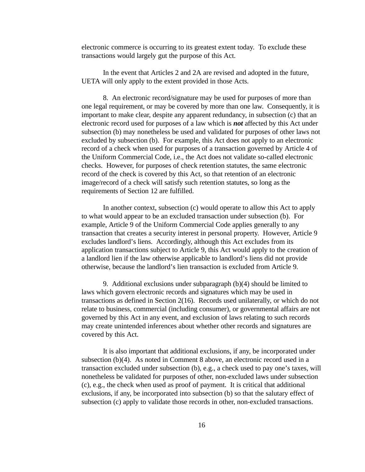electronic commerce is occurring to its greatest extent today. To exclude these transactions would largely gut the purpose of this Act.

In the event that Articles 2 and 2A are revised and adopted in the future, UETA will only apply to the extent provided in those Acts.

8. An electronic record/signature may be used for purposes of more than one legal requirement, or may be covered by more than one law. Consequently, it is important to make clear, despite any apparent redundancy, in subsection (c) that an electronic record used for purposes of a law which is *not* affected by this Act under subsection (b) may nonetheless be used and validated for purposes of other laws not excluded by subsection (b). For example, this Act does not apply to an electronic record of a check when used for purposes of a transaction governed by Article 4 of the Uniform Commercial Code, i.e., the Act does not validate so-called electronic checks. However, for purposes of check retention statutes, the same electronic record of the check is covered by this Act, so that retention of an electronic image/record of a check will satisfy such retention statutes, so long as the requirements of Section 12 are fulfilled.

In another context, subsection (c) would operate to allow this Act to apply to what would appear to be an excluded transaction under subsection (b). For example, Article 9 of the Uniform Commercial Code applies generally to any transaction that creates a security interest in personal property. However, Article 9 excludes landlord's liens. Accordingly, although this Act excludes from its application transactions subject to Article 9, this Act would apply to the creation of a landlord lien if the law otherwise applicable to landlord's liens did not provide otherwise, because the landlord's lien transaction is excluded from Article 9.

9. Additional exclusions under subparagraph (b)(4) should be limited to laws which govern electronic records and signatures which may be used in transactions as defined in Section 2(16). Records used unilaterally, or which do not relate to business, commercial (including consumer), or governmental affairs are not governed by this Act in any event, and exclusion of laws relating to such records may create unintended inferences about whether other records and signatures are covered by this Act.

It is also important that additional exclusions, if any, be incorporated under subsection (b)(4). As noted in Comment 8 above, an electronic record used in a transaction excluded under subsection (b), e.g., a check used to pay one's taxes, will nonetheless be validated for purposes of other, non-excluded laws under subsection (c), e.g., the check when used as proof of payment. It is critical that additional exclusions, if any, be incorporated into subsection (b) so that the salutary effect of subsection (c) apply to validate those records in other, non-excluded transactions.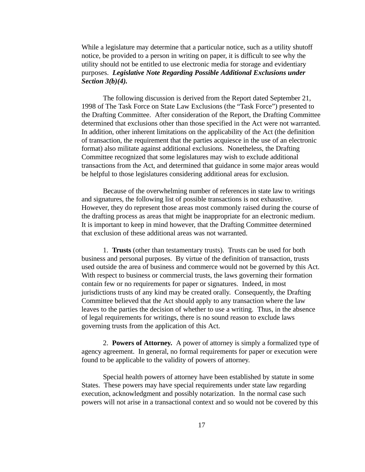While a legislature may determine that a particular notice, such as a utility shutoff notice, be provided to a person in writing on paper, it is difficult to see why the utility should not be entitled to use electronic media for storage and evidentiary purposes. *Legislative Note Regarding Possible Additional Exclusions under Section 3(b)(4).*

The following discussion is derived from the Report dated September 21, 1998 of The Task Force on State Law Exclusions (the "Task Force") presented to the Drafting Committee. After consideration of the Report, the Drafting Committee determined that exclusions other than those specified in the Act were not warranted. In addition, other inherent limitations on the applicability of the Act (the definition of transaction, the requirement that the parties acquiesce in the use of an electronic format) also militate against additional exclusions. Nonetheless, the Drafting Committee recognized that some legislatures may wish to exclude additional transactions from the Act, and determined that guidance in some major areas would be helpful to those legislatures considering additional areas for exclusion.

Because of the overwhelming number of references in state law to writings and signatures, the following list of possible transactions is not exhaustive. However, they do represent those areas most commonly raised during the course of the drafting process as areas that might be inappropriate for an electronic medium. It is important to keep in mind however, that the Drafting Committee determined that exclusion of these additional areas was not warranted.

1. **Trusts** (other than testamentary trusts). Trusts can be used for both business and personal purposes. By virtue of the definition of transaction, trusts used outside the area of business and commerce would not be governed by this Act. With respect to business or commercial trusts, the laws governing their formation contain few or no requirements for paper or signatures. Indeed, in most jurisdictions trusts of any kind may be created orally. Consequently, the Drafting Committee believed that the Act should apply to any transaction where the law leaves to the parties the decision of whether to use a writing. Thus, in the absence of legal requirements for writings, there is no sound reason to exclude laws governing trusts from the application of this Act.

2. **Powers of Attorney.** A power of attorney is simply a formalized type of agency agreement. In general, no formal requirements for paper or execution were found to be applicable to the validity of powers of attorney.

Special health powers of attorney have been established by statute in some States. These powers may have special requirements under state law regarding execution, acknowledgment and possibly notarization. In the normal case such powers will not arise in a transactional context and so would not be covered by this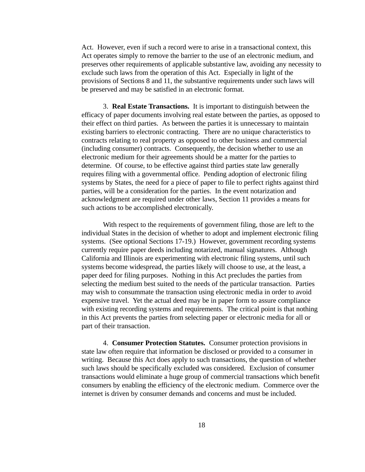Act. However, even if such a record were to arise in a transactional context, this Act operates simply to remove the barrier to the use of an electronic medium, and preserves other requirements of applicable substantive law, avoiding any necessity to exclude such laws from the operation of this Act. Especially in light of the provisions of Sections 8 and 11, the substantive requirements under such laws will be preserved and may be satisfied in an electronic format.

3. **Real Estate Transactions.** It is important to distinguish between the efficacy of paper documents involving real estate between the parties, as opposed to their effect on third parties. As between the parties it is unnecessary to maintain existing barriers to electronic contracting. There are no unique characteristics to contracts relating to real property as opposed to other business and commercial (including consumer) contracts. Consequently, the decision whether to use an electronic medium for their agreements should be a matter for the parties to determine. Of course, to be effective against third parties state law generally requires filing with a governmental office. Pending adoption of electronic filing systems by States, the need for a piece of paper to file to perfect rights against third parties, will be a consideration for the parties. In the event notarization and acknowledgment are required under other laws, Section 11 provides a means for such actions to be accomplished electronically.

With respect to the requirements of government filing, those are left to the individual States in the decision of whether to adopt and implement electronic filing systems. (See optional Sections 17-19.) However, government recording systems currently require paper deeds including notarized, manual signatures. Although California and Illinois are experimenting with electronic filing systems, until such systems become widespread, the parties likely will choose to use, at the least, a paper deed for filing purposes. Nothing in this Act precludes the parties from selecting the medium best suited to the needs of the particular transaction. Parties may wish to consummate the transaction using electronic media in order to avoid expensive travel. Yet the actual deed may be in paper form to assure compliance with existing recording systems and requirements. The critical point is that nothing in this Act prevents the parties from selecting paper or electronic media for all or part of their transaction.

4. **Consumer Protection Statutes.** Consumer protection provisions in state law often require that information be disclosed or provided to a consumer in writing. Because this Act does apply to such transactions, the question of whether such laws should be specifically excluded was considered. Exclusion of consumer transactions would eliminate a huge group of commercial transactions which benefit consumers by enabling the efficiency of the electronic medium. Commerce over the internet is driven by consumer demands and concerns and must be included.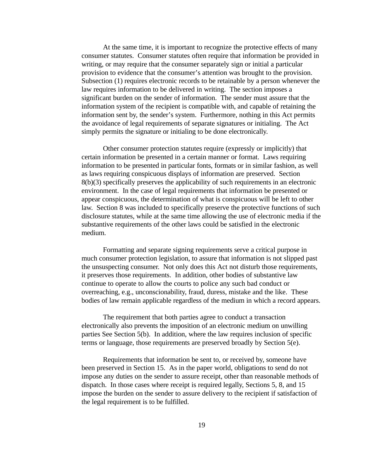At the same time, it is important to recognize the protective effects of many consumer statutes. Consumer statutes often require that information be provided in writing, or may require that the consumer separately sign or initial a particular provision to evidence that the consumer's attention was brought to the provision. Subsection (1) requires electronic records to be retainable by a person whenever the law requires information to be delivered in writing. The section imposes a significant burden on the sender of information. The sender must assure that the information system of the recipient is compatible with, and capable of retaining the information sent by, the sender's system. Furthermore, nothing in this Act permits the avoidance of legal requirements of separate signatures or initialing. The Act simply permits the signature or initialing to be done electronically.

Other consumer protection statutes require (expressly or implicitly) that certain information be presented in a certain manner or format. Laws requiring information to be presented in particular fonts, formats or in similar fashion, as well as laws requiring conspicuous displays of information are preserved. Section 8(b)(3) specifically preserves the applicability of such requirements in an electronic environment. In the case of legal requirements that information be presented or appear conspicuous, the determination of what is conspicuous will be left to other law. Section 8 was included to specifically preserve the protective functions of such disclosure statutes, while at the same time allowing the use of electronic media if the substantive requirements of the other laws could be satisfied in the electronic medium.

Formatting and separate signing requirements serve a critical purpose in much consumer protection legislation, to assure that information is not slipped past the unsuspecting consumer. Not only does this Act not disturb those requirements, it preserves those requirements. In addition, other bodies of substantive law continue to operate to allow the courts to police any such bad conduct or overreaching, e.g., unconscionability, fraud, duress, mistake and the like. These bodies of law remain applicable regardless of the medium in which a record appears.

The requirement that both parties agree to conduct a transaction electronically also prevents the imposition of an electronic medium on unwilling parties See Section 5(b). In addition, where the law requires inclusion of specific terms or language, those requirements are preserved broadly by Section 5(e).

Requirements that information be sent to, or received by, someone have been preserved in Section 15. As in the paper world, obligations to send do not impose any duties on the sender to assure receipt, other than reasonable methods of dispatch. In those cases where receipt is required legally, Sections 5, 8, and 15 impose the burden on the sender to assure delivery to the recipient if satisfaction of the legal requirement is to be fulfilled.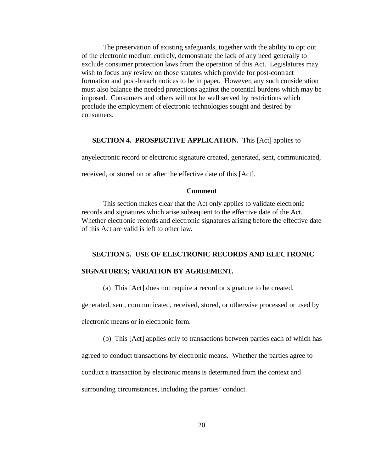The preservation of existing safeguards, together with the ability to opt out of the electronic medium entirely, demonstrate the lack of any need generally to exclude consumer protection laws from the operation of this Act. Legislatures may wish to focus any review on those statutes which provide for post-contract formation and post-breach notices to be in paper. However, any such consideration must also balance the needed protections against the potential burdens which may be imposed. Consumers and others will not be well served by restrictions which preclude the employment of electronic technologies sought and desired by consumers.

#### **SECTION 4. PROSPECTIVE APPLICATION.** This [Act] applies to

anyelectronic record or electronic signature created, generated, sent, communicated,

received, or stored on or after the effective date of this [Act].

# **Comment**

This section makes clear that the Act only applies to validate electronic records and signatures which arise subsequent to the effective date of the Act. Whether electronic records and electronic signatures arising before the effective date of this Act are valid is left to other law.

## **SECTION 5. USE OF ELECTRONIC RECORDS AND ELECTRONIC**

# **SIGNATURES; VARIATION BY AGREEMENT.**

(a) This [Act] does not require a record or signature to be created,

generated, sent, communicated, received, stored, or otherwise processed or used by

electronic means or in electronic form.

(b) This [Act] applies only to transactions between parties each of which has

agreed to conduct transactions by electronic means. Whether the parties agree to conduct a transaction by electronic means is determined from the context and surrounding circumstances, including the parties' conduct.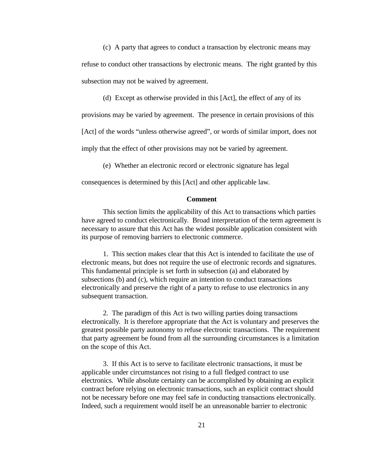(c) A party that agrees to conduct a transaction by electronic means may

refuse to conduct other transactions by electronic means. The right granted by this subsection may not be waived by agreement.

(d) Except as otherwise provided in this [Act], the effect of any of its

provisions may be varied by agreement. The presence in certain provisions of this

[Act] of the words "unless otherwise agreed", or words of similar import, does not

imply that the effect of other provisions may not be varied by agreement.

(e) Whether an electronic record or electronic signature has legal

consequences is determined by this [Act] and other applicable law.

#### **Comment**

This section limits the applicability of this Act to transactions which parties have agreed to conduct electronically. Broad interpretation of the term agreement is necessary to assure that this Act has the widest possible application consistent with its purpose of removing barriers to electronic commerce.

1. This section makes clear that this Act is intended to facilitate the use of electronic means, but does not require the use of electronic records and signatures. This fundamental principle is set forth in subsection (a) and elaborated by subsections (b) and (c), which require an intention to conduct transactions electronically and preserve the right of a party to refuse to use electronics in any subsequent transaction.

2. The paradigm of this Act is two willing parties doing transactions electronically. It is therefore appropriate that the Act is voluntary and preserves the greatest possible party autonomy to refuse electronic transactions. The requirement that party agreement be found from all the surrounding circumstances is a limitation on the scope of this Act.

3. If this Act is to serve to facilitate electronic transactions, it must be applicable under circumstances not rising to a full fledged contract to use electronics. While absolute certainty can be accomplished by obtaining an explicit contract before relying on electronic transactions, such an explicit contract should not be necessary before one may feel safe in conducting transactions electronically. Indeed, such a requirement would itself be an unreasonable barrier to electronic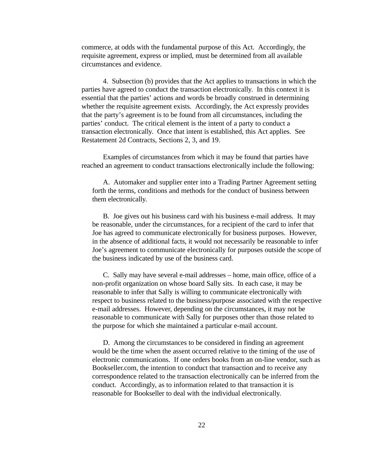commerce, at odds with the fundamental purpose of this Act. Accordingly, the requisite agreement, express or implied, must be determined from all available circumstances and evidence.

4. Subsection (b) provides that the Act applies to transactions in which the parties have agreed to conduct the transaction electronically. In this context it is essential that the parties' actions and words be broadly construed in determining whether the requisite agreement exists. Accordingly, the Act expressly provides that the party's agreement is to be found from all circumstances, including the parties' conduct. The critical element is the intent of a party to conduct a transaction electronically. Once that intent is established, this Act applies. See Restatement 2d Contracts, Sections 2, 3, and 19.

Examples of circumstances from which it may be found that parties have reached an agreement to conduct transactions electronically include the following:

A. Automaker and supplier enter into a Trading Partner Agreement setting forth the terms, conditions and methods for the conduct of business between them electronically.

B. Joe gives out his business card with his business e-mail address. It may be reasonable, under the circumstances, for a recipient of the card to infer that Joe has agreed to communicate electronically for business purposes. However, in the absence of additional facts, it would not necessarily be reasonable to infer Joe's agreement to communicate electronically for purposes outside the scope of the business indicated by use of the business card.

C. Sally may have several e-mail addresses – home, main office, office of a non-profit organization on whose board Sally sits. In each case, it may be reasonable to infer that Sally is willing to communicate electronically with respect to business related to the business/purpose associated with the respective e-mail addresses. However, depending on the circumstances, it may not be reasonable to communicate with Sally for purposes other than those related to the purpose for which she maintained a particular e-mail account.

D. Among the circumstances to be considered in finding an agreement would be the time when the assent occurred relative to the timing of the use of electronic communications. If one orders books from an on-line vendor, such as Bookseller.com, the intention to conduct that transaction and to receive any correspondence related to the transaction electronically can be inferred from the conduct. Accordingly, as to information related to that transaction it is reasonable for Bookseller to deal with the individual electronically.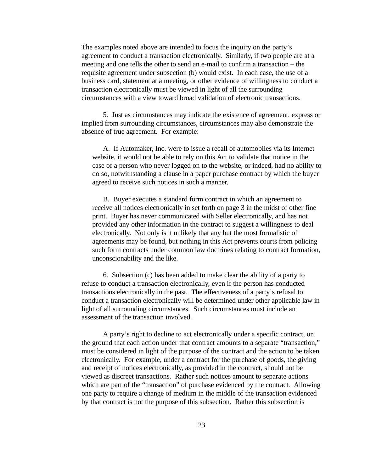The examples noted above are intended to focus the inquiry on the party's agreement to conduct a transaction electronically. Similarly, if two people are at a meeting and one tells the other to send an e-mail to confirm a transaction – the requisite agreement under subsection (b) would exist. In each case, the use of a business card, statement at a meeting, or other evidence of willingness to conduct a transaction electronically must be viewed in light of all the surrounding circumstances with a view toward broad validation of electronic transactions.

5. Just as circumstances may indicate the existence of agreement, express or implied from surrounding circumstances, circumstances may also demonstrate the absence of true agreement. For example:

A. If Automaker, Inc. were to issue a recall of automobiles via its Internet website, it would not be able to rely on this Act to validate that notice in the case of a person who never logged on to the website, or indeed, had no ability to do so, notwithstanding a clause in a paper purchase contract by which the buyer agreed to receive such notices in such a manner.

B. Buyer executes a standard form contract in which an agreement to receive all notices electronically in set forth on page 3 in the midst of other fine print. Buyer has never communicated with Seller electronically, and has not provided any other information in the contract to suggest a willingness to deal electronically. Not only is it unlikely that any but the most formalistic of agreements may be found, but nothing in this Act prevents courts from policing such form contracts under common law doctrines relating to contract formation, unconscionability and the like.

6. Subsection (c) has been added to make clear the ability of a party to refuse to conduct a transaction electronically, even if the person has conducted transactions electronically in the past. The effectiveness of a party's refusal to conduct a transaction electronically will be determined under other applicable law in light of all surrounding circumstances. Such circumstances must include an assessment of the transaction involved.

A party's right to decline to act electronically under a specific contract, on the ground that each action under that contract amounts to a separate "transaction," must be considered in light of the purpose of the contract and the action to be taken electronically. For example, under a contract for the purchase of goods, the giving and receipt of notices electronically, as provided in the contract, should not be viewed as discreet transactions. Rather such notices amount to separate actions which are part of the "transaction" of purchase evidenced by the contract. Allowing one party to require a change of medium in the middle of the transaction evidenced by that contract is not the purpose of this subsection. Rather this subsection is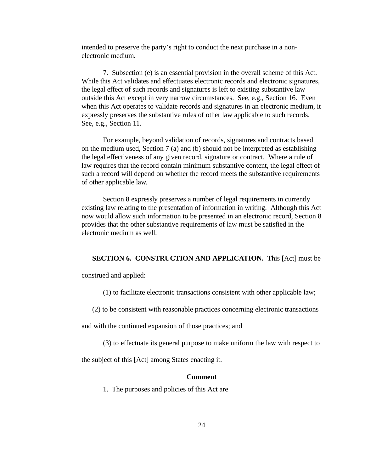intended to preserve the party's right to conduct the next purchase in a nonelectronic medium.

7. Subsection (e) is an essential provision in the overall scheme of this Act. While this Act validates and effectuates electronic records and electronic signatures, the legal effect of such records and signatures is left to existing substantive law outside this Act except in very narrow circumstances. See, e.g., Section 16. Even when this Act operates to validate records and signatures in an electronic medium, it expressly preserves the substantive rules of other law applicable to such records. See, e.g., Section 11.

For example, beyond validation of records, signatures and contracts based on the medium used, Section 7 (a) and (b) should not be interpreted as establishing the legal effectiveness of any given record, signature or contract. Where a rule of law requires that the record contain minimum substantive content, the legal effect of such a record will depend on whether the record meets the substantive requirements of other applicable law.

Section 8 expressly preserves a number of legal requirements in currently existing law relating to the presentation of information in writing. Although this Act now would allow such information to be presented in an electronic record, Section 8 provides that the other substantive requirements of law must be satisfied in the electronic medium as well.

#### **SECTION 6. CONSTRUCTION AND APPLICATION.** This [Act] must be

construed and applied:

- (1) to facilitate electronic transactions consistent with other applicable law;
- (2) to be consistent with reasonable practices concerning electronic transactions

and with the continued expansion of those practices; and

(3) to effectuate its general purpose to make uniform the law with respect to

the subject of this [Act] among States enacting it.

### **Comment**

1. The purposes and policies of this Act are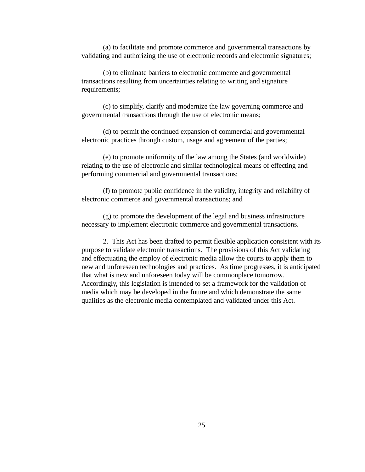(a) to facilitate and promote commerce and governmental transactions by validating and authorizing the use of electronic records and electronic signatures;

(b) to eliminate barriers to electronic commerce and governmental transactions resulting from uncertainties relating to writing and signature requirements;

(c) to simplify, clarify and modernize the law governing commerce and governmental transactions through the use of electronic means;

(d) to permit the continued expansion of commercial and governmental electronic practices through custom, usage and agreement of the parties;

(e) to promote uniformity of the law among the States (and worldwide) relating to the use of electronic and similar technological means of effecting and performing commercial and governmental transactions;

(f) to promote public confidence in the validity, integrity and reliability of electronic commerce and governmental transactions; and

(g) to promote the development of the legal and business infrastructure necessary to implement electronic commerce and governmental transactions.

2. This Act has been drafted to permit flexible application consistent with its purpose to validate electronic transactions. The provisions of this Act validating and effectuating the employ of electronic media allow the courts to apply them to new and unforeseen technologies and practices. As time progresses, it is anticipated that what is new and unforeseen today will be commonplace tomorrow. Accordingly, this legislation is intended to set a framework for the validation of media which may be developed in the future and which demonstrate the same qualities as the electronic media contemplated and validated under this Act.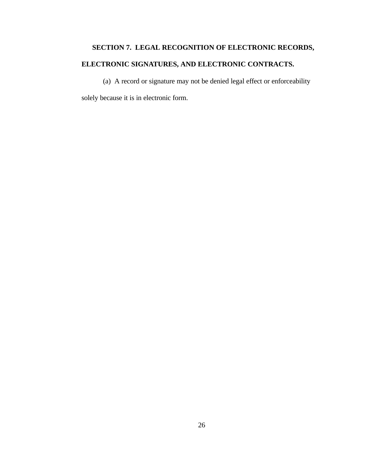# **SECTION 7. LEGAL RECOGNITION OF ELECTRONIC RECORDS, ELECTRONIC SIGNATURES, AND ELECTRONIC CONTRACTS.**

(a) A record or signature may not be denied legal effect or enforceability

solely because it is in electronic form.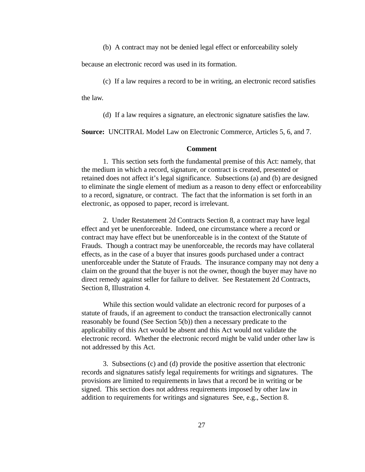(b) A contract may not be denied legal effect or enforceability solely

because an electronic record was used in its formation.

(c) If a law requires a record to be in writing, an electronic record satisfies

the law.

(d) If a law requires a signature, an electronic signature satisfies the law.

**Source:** UNCITRAL Model Law on Electronic Commerce, Articles 5, 6, and 7.

### **Comment**

1. This section sets forth the fundamental premise of this Act: namely, that the medium in which a record, signature, or contract is created, presented or retained does not affect it's legal significance. Subsections (a) and (b) are designed to eliminate the single element of medium as a reason to deny effect or enforceability to a record, signature, or contract. The fact that the information is set forth in an electronic, as opposed to paper, record is irrelevant.

2. Under Restatement 2d Contracts Section 8, a contract may have legal effect and yet be unenforceable. Indeed, one circumstance where a record or contract may have effect but be unenforceable is in the context of the Statute of Frauds. Though a contract may be unenforceable, the records may have collateral effects, as in the case of a buyer that insures goods purchased under a contract unenforceable under the Statute of Frauds. The insurance company may not deny a claim on the ground that the buyer is not the owner, though the buyer may have no direct remedy against seller for failure to deliver. See Restatement 2d Contracts, Section 8, Illustration 4.

While this section would validate an electronic record for purposes of a statute of frauds, if an agreement to conduct the transaction electronically cannot reasonably be found (See Section 5(b)) then a necessary predicate to the applicability of this Act would be absent and this Act would not validate the electronic record. Whether the electronic record might be valid under other law is not addressed by this Act.

3. Subsections (c) and (d) provide the positive assertion that electronic records and signatures satisfy legal requirements for writings and signatures. The provisions are limited to requirements in laws that a record be in writing or be signed. This section does not address requirements imposed by other law in addition to requirements for writings and signatures See, e.g., Section 8.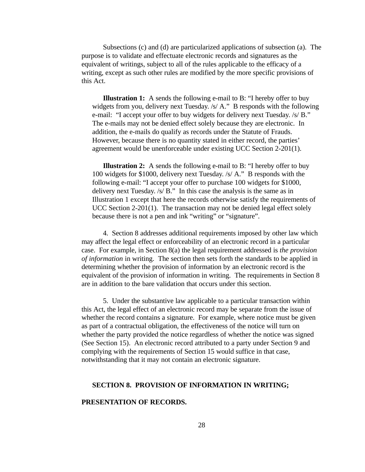Subsections (c) and (d) are particularized applications of subsection (a). The purpose is to validate and effectuate electronic records and signatures as the equivalent of writings, subject to all of the rules applicable to the efficacy of a writing, except as such other rules are modified by the more specific provisions of this Act.

**Illustration 1:** A sends the following e-mail to B: "I hereby offer to buy widgets from you, delivery next Tuesday. /s/ A." B responds with the following e-mail: "I accept your offer to buy widgets for delivery next Tuesday. /s/ B." The e-mails may not be denied effect solely because they are electronic. In addition, the e-mails do qualify as records under the Statute of Frauds. However, because there is no quantity stated in either record, the parties' agreement would be unenforceable under existing UCC Section 2-201(1).

**Illustration 2:** A sends the following e-mail to B: "I hereby offer to buy 100 widgets for \$1000, delivery next Tuesday. /s/ A." B responds with the following e-mail: "I accept your offer to purchase 100 widgets for \$1000, delivery next Tuesday. /s/ B." In this case the analysis is the same as in Illustration 1 except that here the records otherwise satisfy the requirements of UCC Section 2-201(1). The transaction may not be denied legal effect solely because there is not a pen and ink "writing" or "signature".

4. Section 8 addresses additional requirements imposed by other law which may affect the legal effect or enforceability of an electronic record in a particular case. For example, in Section 8(a) the legal requirement addressed is *the provision of information* in writing. The section then sets forth the standards to be applied in determining whether the provision of information by an electronic record is the equivalent of the provision of information in writing. The requirements in Section 8 are in addition to the bare validation that occurs under this section.

5. Under the substantive law applicable to a particular transaction within this Act, the legal effect of an electronic record may be separate from the issue of whether the record contains a signature. For example, where notice must be given as part of a contractual obligation, the effectiveness of the notice will turn on whether the party provided the notice regardless of whether the notice was signed (See Section 15). An electronic record attributed to a party under Section 9 and complying with the requirements of Section 15 would suffice in that case, notwithstanding that it may not contain an electronic signature.

#### **SECTION 8. PROVISION OF INFORMATION IN WRITING;**

#### **PRESENTATION OF RECORDS.**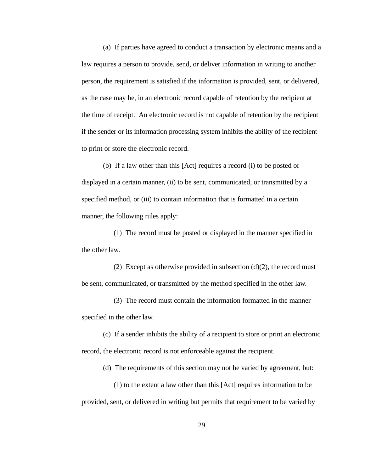(a) If parties have agreed to conduct a transaction by electronic means and a law requires a person to provide, send, or deliver information in writing to another person, the requirement is satisfied if the information is provided, sent, or delivered, as the case may be, in an electronic record capable of retention by the recipient at the time of receipt. An electronic record is not capable of retention by the recipient if the sender or its information processing system inhibits the ability of the recipient to print or store the electronic record.

(b) If a law other than this [Act] requires a record (i) to be posted or displayed in a certain manner, (ii) to be sent, communicated, or transmitted by a specified method, or (iii) to contain information that is formatted in a certain manner, the following rules apply:

(1) The record must be posted or displayed in the manner specified in the other law.

(2) Except as otherwise provided in subsection  $(d)(2)$ , the record must be sent, communicated, or transmitted by the method specified in the other law.

(3) The record must contain the information formatted in the manner specified in the other law.

(c) If a sender inhibits the ability of a recipient to store or print an electronic record, the electronic record is not enforceable against the recipient.

(d) The requirements of this section may not be varied by agreement, but:

(1) to the extent a law other than this [Act] requires information to be provided, sent, or delivered in writing but permits that requirement to be varied by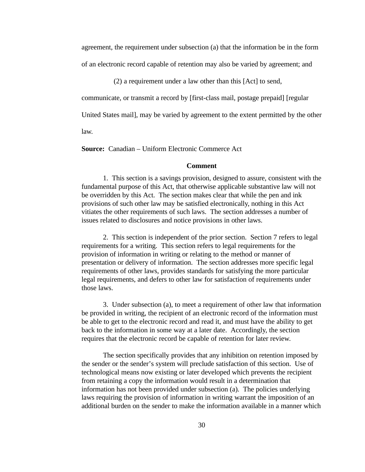agreement, the requirement under subsection (a) that the information be in the form

of an electronic record capable of retention may also be varied by agreement; and

(2) a requirement under a law other than this [Act] to send,

communicate, or transmit a record by [first-class mail, postage prepaid] [regular

United States mail], may be varied by agreement to the extent permitted by the other

law.

**Source:** Canadian – Uniform Electronic Commerce Act

# **Comment**

1. This section is a savings provision, designed to assure, consistent with the fundamental purpose of this Act, that otherwise applicable substantive law will not be overridden by this Act. The section makes clear that while the pen and ink provisions of such other law may be satisfied electronically, nothing in this Act vitiates the other requirements of such laws. The section addresses a number of issues related to disclosures and notice provisions in other laws.

2. This section is independent of the prior section. Section 7 refers to legal requirements for a writing. This section refers to legal requirements for the provision of information in writing or relating to the method or manner of presentation or delivery of information. The section addresses more specific legal requirements of other laws, provides standards for satisfying the more particular legal requirements, and defers to other law for satisfaction of requirements under those laws.

3. Under subsection (a), to meet a requirement of other law that information be provided in writing, the recipient of an electronic record of the information must be able to get to the electronic record and read it, and must have the ability to get back to the information in some way at a later date. Accordingly, the section requires that the electronic record be capable of retention for later review.

The section specifically provides that any inhibition on retention imposed by the sender or the sender's system will preclude satisfaction of this section. Use of technological means now existing or later developed which prevents the recipient from retaining a copy the information would result in a determination that information has not been provided under subsection (a). The policies underlying laws requiring the provision of information in writing warrant the imposition of an additional burden on the sender to make the information available in a manner which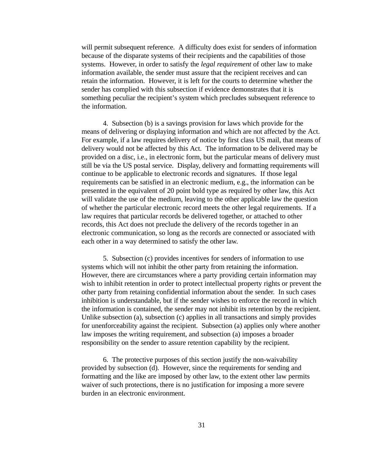will permit subsequent reference. A difficulty does exist for senders of information because of the disparate systems of their recipients and the capabilities of those systems. However, in order to satisfy the *legal requirement* of other law to make information available, the sender must assure that the recipient receives and can retain the information. However, it is left for the courts to determine whether the sender has complied with this subsection if evidence demonstrates that it is something peculiar the recipient's system which precludes subsequent reference to the information.

4. Subsection (b) is a savings provision for laws which provide for the means of delivering or displaying information and which are not affected by the Act. For example, if a law requires delivery of notice by first class US mail, that means of delivery would not be affected by this Act. The information to be delivered may be provided on a disc, i.e., in electronic form, but the particular means of delivery must still be via the US postal service. Display, delivery and formatting requirements will continue to be applicable to electronic records and signatures. If those legal requirements can be satisfied in an electronic medium, e.g., the information can be presented in the equivalent of 20 point bold type as required by other law, this Act will validate the use of the medium, leaving to the other applicable law the question of whether the particular electronic record meets the other legal requirements. If a law requires that particular records be delivered together, or attached to other records, this Act does not preclude the delivery of the records together in an electronic communication, so long as the records are connected or associated with each other in a way determined to satisfy the other law.

5. Subsection (c) provides incentives for senders of information to use systems which will not inhibit the other party from retaining the information. However, there are circumstances where a party providing certain information may wish to inhibit retention in order to protect intellectual property rights or prevent the other party from retaining confidential information about the sender. In such cases inhibition is understandable, but if the sender wishes to enforce the record in which the information is contained, the sender may not inhibit its retention by the recipient. Unlike subsection (a), subsection (c) applies in all transactions and simply provides for unenforceability against the recipient. Subsection (a) applies only where another law imposes the writing requirement, and subsection (a) imposes a broader responsibility on the sender to assure retention capability by the recipient.

6. The protective purposes of this section justify the non-waivability provided by subsection (d). However, since the requirements for sending and formatting and the like are imposed by other law, to the extent other law permits waiver of such protections, there is no justification for imposing a more severe burden in an electronic environment.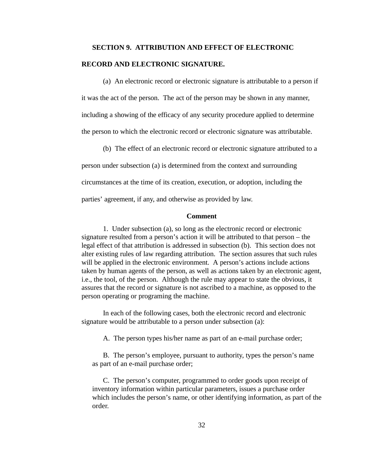# **SECTION 9. ATTRIBUTION AND EFFECT OF ELECTRONIC RECORD AND ELECTRONIC SIGNATURE.**

(a) An electronic record or electronic signature is attributable to a person if it was the act of the person. The act of the person may be shown in any manner, including a showing of the efficacy of any security procedure applied to determine the person to which the electronic record or electronic signature was attributable.

(b) The effect of an electronic record or electronic signature attributed to a

person under subsection (a) is determined from the context and surrounding circumstances at the time of its creation, execution, or adoption, including the parties' agreement, if any, and otherwise as provided by law.

### **Comment**

1. Under subsection (a), so long as the electronic record or electronic signature resulted from a person's action it will be attributed to that person – the legal effect of that attribution is addressed in subsection (b). This section does not alter existing rules of law regarding attribution. The section assures that such rules will be applied in the electronic environment. A person's actions include actions taken by human agents of the person, as well as actions taken by an electronic agent, i.e., the tool, of the person. Although the rule may appear to state the obvious, it assures that the record or signature is not ascribed to a machine, as opposed to the person operating or programing the machine.

In each of the following cases, both the electronic record and electronic signature would be attributable to a person under subsection (a):

A. The person types his/her name as part of an e-mail purchase order;

B. The person's employee, pursuant to authority, types the person's name as part of an e-mail purchase order;

C. The person's computer, programmed to order goods upon receipt of inventory information within particular parameters, issues a purchase order which includes the person's name, or other identifying information, as part of the order.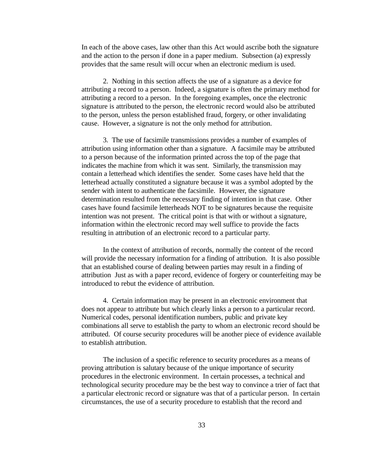In each of the above cases, law other than this Act would ascribe both the signature and the action to the person if done in a paper medium. Subsection (a) expressly provides that the same result will occur when an electronic medium is used.

2. Nothing in this section affects the use of a signature as a device for attributing a record to a person. Indeed, a signature is often the primary method for attributing a record to a person. In the foregoing examples, once the electronic signature is attributed to the person, the electronic record would also be attributed to the person, unless the person established fraud, forgery, or other invalidating cause. However, a signature is not the only method for attribution.

3. The use of facsimile transmissions provides a number of examples of attribution using information other than a signature. A facsimile may be attributed to a person because of the information printed across the top of the page that indicates the machine from which it was sent. Similarly, the transmission may contain a letterhead which identifies the sender. Some cases have held that the letterhead actually constituted a signature because it was a symbol adopted by the sender with intent to authenticate the facsimile. However, the signature determination resulted from the necessary finding of intention in that case. Other cases have found facsimile letterheads NOT to be signatures because the requisite intention was not present. The critical point is that with or without a signature, information within the electronic record may well suffice to provide the facts resulting in attribution of an electronic record to a particular party.

In the context of attribution of records, normally the content of the record will provide the necessary information for a finding of attribution. It is also possible that an established course of dealing between parties may result in a finding of attribution Just as with a paper record, evidence of forgery or counterfeiting may be introduced to rebut the evidence of attribution.

4. Certain information may be present in an electronic environment that does not appear to attribute but which clearly links a person to a particular record. Numerical codes, personal identification numbers, public and private key combinations all serve to establish the party to whom an electronic record should be attributed. Of course security procedures will be another piece of evidence available to establish attribution.

The inclusion of a specific reference to security procedures as a means of proving attribution is salutary because of the unique importance of security procedures in the electronic environment. In certain processes, a technical and technological security procedure may be the best way to convince a trier of fact that a particular electronic record or signature was that of a particular person. In certain circumstances, the use of a security procedure to establish that the record and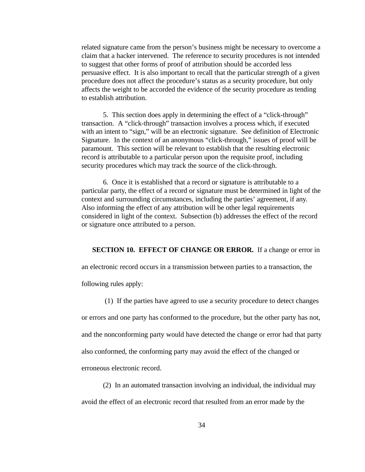related signature came from the person's business might be necessary to overcome a claim that a hacker intervened. The reference to security procedures is not intended to suggest that other forms of proof of attribution should be accorded less persuasive effect. It is also important to recall that the particular strength of a given procedure does not affect the procedure's status as a security procedure, but only affects the weight to be accorded the evidence of the security procedure as tending to establish attribution.

5. This section does apply in determining the effect of a "click-through" transaction. A "click-through" transaction involves a process which, if executed with an intent to "sign," will be an electronic signature. See definition of Electronic Signature. In the context of an anonymous "click-through," issues of proof will be paramount. This section will be relevant to establish that the resulting electronic record is attributable to a particular person upon the requisite proof, including security procedures which may track the source of the click-through.

6. Once it is established that a record or signature is attributable to a particular party, the effect of a record or signature must be determined in light of the context and surrounding circumstances, including the parties' agreement, if any. Also informing the effect of any attribution will be other legal requirements considered in light of the context. Subsection (b) addresses the effect of the record or signature once attributed to a person.

#### **SECTION 10. EFFECT OF CHANGE OR ERROR.** If a change or error in

an electronic record occurs in a transmission between parties to a transaction, the following rules apply:

(1) If the parties have agreed to use a security procedure to detect changes

or errors and one party has conformed to the procedure, but the other party has not, and the nonconforming party would have detected the change or error had that party also conformed, the conforming party may avoid the effect of the changed or erroneous electronic record.

(2) In an automated transaction involving an individual, the individual may avoid the effect of an electronic record that resulted from an error made by the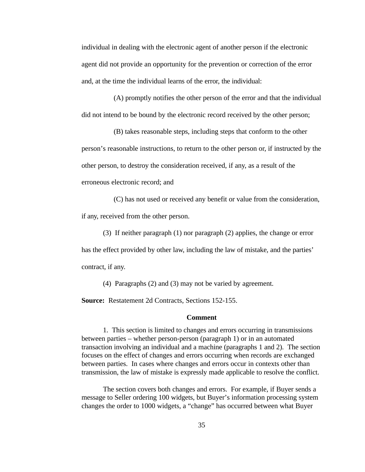individual in dealing with the electronic agent of another person if the electronic agent did not provide an opportunity for the prevention or correction of the error and, at the time the individual learns of the error, the individual:

(A) promptly notifies the other person of the error and that the individual did not intend to be bound by the electronic record received by the other person;

(B) takes reasonable steps, including steps that conform to the other person's reasonable instructions, to return to the other person or, if instructed by the other person, to destroy the consideration received, if any, as a result of the erroneous electronic record; and

(C) has not used or received any benefit or value from the consideration, if any, received from the other person.

(3) If neither paragraph (1) nor paragraph (2) applies, the change or error

has the effect provided by other law, including the law of mistake, and the parties'

contract, if any.

(4) Paragraphs (2) and (3) may not be varied by agreement.

**Source:** Restatement 2d Contracts, Sections 152-155.

### **Comment**

1. This section is limited to changes and errors occurring in transmissions between parties – whether person-person (paragraph 1) or in an automated transaction involving an individual and a machine (paragraphs 1 and 2). The section focuses on the effect of changes and errors occurring when records are exchanged between parties. In cases where changes and errors occur in contexts other than transmission, the law of mistake is expressly made applicable to resolve the conflict.

The section covers both changes and errors. For example, if Buyer sends a message to Seller ordering 100 widgets, but Buyer's information processing system changes the order to 1000 widgets, a "change" has occurred between what Buyer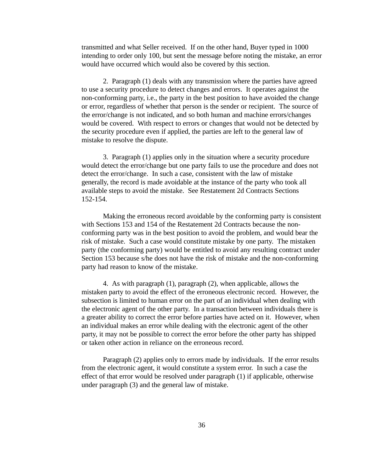transmitted and what Seller received. If on the other hand, Buyer typed in 1000 intending to order only 100, but sent the message before noting the mistake, an error would have occurred which would also be covered by this section.

2. Paragraph (1) deals with any transmission where the parties have agreed to use a security procedure to detect changes and errors. It operates against the non-conforming party, i.e., the party in the best position to have avoided the change or error, regardless of whether that person is the sender or recipient. The source of the error/change is not indicated, and so both human and machine errors/changes would be covered. With respect to errors or changes that would not be detected by the security procedure even if applied, the parties are left to the general law of mistake to resolve the dispute.

3. Paragraph (1) applies only in the situation where a security procedure would detect the error/change but one party fails to use the procedure and does not detect the error/change. In such a case, consistent with the law of mistake generally, the record is made avoidable at the instance of the party who took all available steps to avoid the mistake. See Restatement 2d Contracts Sections 152-154.

Making the erroneous record avoidable by the conforming party is consistent with Sections 153 and 154 of the Restatement 2d Contracts because the nonconforming party was in the best position to avoid the problem, and would bear the risk of mistake. Such a case would constitute mistake by one party. The mistaken party (the conforming party) would be entitled to avoid any resulting contract under Section 153 because s/he does not have the risk of mistake and the non-conforming party had reason to know of the mistake.

4. As with paragraph (1), paragraph (2), when applicable, allows the mistaken party to avoid the effect of the erroneous electronic record. However, the subsection is limited to human error on the part of an individual when dealing with the electronic agent of the other party. In a transaction between individuals there is a greater ability to correct the error before parties have acted on it. However, when an individual makes an error while dealing with the electronic agent of the other party, it may not be possible to correct the error before the other party has shipped or taken other action in reliance on the erroneous record.

Paragraph (2) applies only to errors made by individuals. If the error results from the electronic agent, it would constitute a system error. In such a case the effect of that error would be resolved under paragraph (1) if applicable, otherwise under paragraph (3) and the general law of mistake.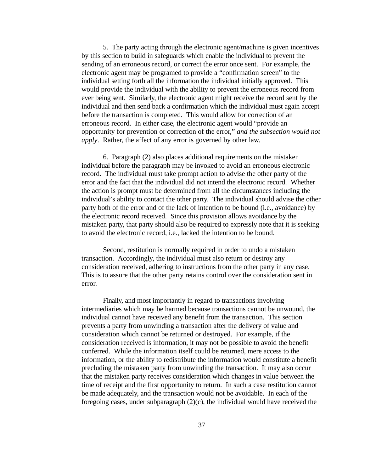5. The party acting through the electronic agent/machine is given incentives by this section to build in safeguards which enable the individual to prevent the sending of an erroneous record, or correct the error once sent. For example, the electronic agent may be programed to provide a "confirmation screen" to the individual setting forth all the information the individual initially approved. This would provide the individual with the ability to prevent the erroneous record from ever being sent. Similarly, the electronic agent might receive the record sent by the individual and then send back a confirmation which the individual must again accept before the transaction is completed. This would allow for correction of an erroneous record. In either case, the electronic agent would "provide an opportunity for prevention or correction of the error," *and the subsection would not apply*. Rather, the affect of any error is governed by other law.

6. Paragraph (2) also places additional requirements on the mistaken individual before the paragraph may be invoked to avoid an erroneous electronic record. The individual must take prompt action to advise the other party of the error and the fact that the individual did not intend the electronic record. Whether the action is prompt must be determined from all the circumstances including the individual's ability to contact the other party. The individual should advise the other party both of the error and of the lack of intention to be bound (i.e., avoidance) by the electronic record received. Since this provision allows avoidance by the mistaken party, that party should also be required to expressly note that it is seeking to avoid the electronic record, i.e., lacked the intention to be bound.

Second, restitution is normally required in order to undo a mistaken transaction. Accordingly, the individual must also return or destroy any consideration received, adhering to instructions from the other party in any case. This is to assure that the other party retains control over the consideration sent in error.

Finally, and most importantly in regard to transactions involving intermediaries which may be harmed because transactions cannot be unwound, the individual cannot have received any benefit from the transaction. This section prevents a party from unwinding a transaction after the delivery of value and consideration which cannot be returned or destroyed. For example, if the consideration received is information, it may not be possible to avoid the benefit conferred. While the information itself could be returned, mere access to the information, or the ability to redistribute the information would constitute a benefit precluding the mistaken party from unwinding the transaction. It may also occur that the mistaken party receives consideration which changes in value between the time of receipt and the first opportunity to return. In such a case restitution cannot be made adequately, and the transaction would not be avoidable. In each of the foregoing cases, under subparagraph (2)(c), the individual would have received the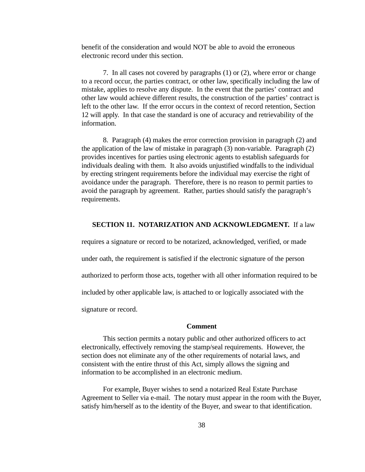benefit of the consideration and would NOT be able to avoid the erroneous electronic record under this section.

7. In all cases not covered by paragraphs (1) or (2), where error or change to a record occur, the parties contract, or other law, specifically including the law of mistake, applies to resolve any dispute. In the event that the parties' contract and other law would achieve different results, the construction of the parties' contract is left to the other law. If the error occurs in the context of record retention, Section 12 will apply. In that case the standard is one of accuracy and retrievability of the information.

8. Paragraph (4) makes the error correction provision in paragraph (2) and the application of the law of mistake in paragraph (3) non-variable. Paragraph (2) provides incentives for parties using electronic agents to establish safeguards for individuals dealing with them. It also avoids unjustified windfalls to the individual by erecting stringent requirements before the individual may exercise the right of avoidance under the paragraph. Therefore, there is no reason to permit parties to avoid the paragraph by agreement. Rather, parties should satisfy the paragraph's requirements.

## **SECTION 11. NOTARIZATION AND ACKNOWLEDGMENT.** If a law

requires a signature or record to be notarized, acknowledged, verified, or made under oath, the requirement is satisfied if the electronic signature of the person authorized to perform those acts, together with all other information required to be included by other applicable law, is attached to or logically associated with the signature or record.

### **Comment**

This section permits a notary public and other authorized officers to act electronically, effectively removing the stamp/seal requirements. However, the section does not eliminate any of the other requirements of notarial laws, and consistent with the entire thrust of this Act, simply allows the signing and information to be accomplished in an electronic medium.

For example, Buyer wishes to send a notarized Real Estate Purchase Agreement to Seller via e-mail. The notary must appear in the room with the Buyer, satisfy him/herself as to the identity of the Buyer, and swear to that identification.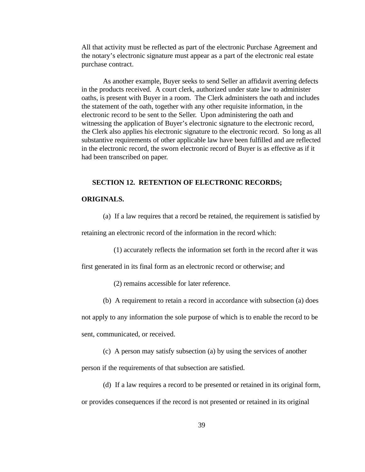All that activity must be reflected as part of the electronic Purchase Agreement and the notary's electronic signature must appear as a part of the electronic real estate purchase contract.

As another example, Buyer seeks to send Seller an affidavit averring defects in the products received. A court clerk, authorized under state law to administer oaths, is present with Buyer in a room. The Clerk administers the oath and includes the statement of the oath, together with any other requisite information, in the electronic record to be sent to the Seller. Upon administering the oath and witnessing the application of Buyer's electronic signature to the electronic record, the Clerk also applies his electronic signature to the electronic record. So long as all substantive requirements of other applicable law have been fulfilled and are reflected in the electronic record, the sworn electronic record of Buyer is as effective as if it had been transcribed on paper.

#### **SECTION 12. RETENTION OF ELECTRONIC RECORDS;**

## **ORIGINALS.**

(a) If a law requires that a record be retained, the requirement is satisfied by

retaining an electronic record of the information in the record which:

(1) accurately reflects the information set forth in the record after it was

first generated in its final form as an electronic record or otherwise; and

(2) remains accessible for later reference.

(b) A requirement to retain a record in accordance with subsection (a) does

not apply to any information the sole purpose of which is to enable the record to be sent, communicated, or received.

(c) A person may satisfy subsection (a) by using the services of another

person if the requirements of that subsection are satisfied.

(d) If a law requires a record to be presented or retained in its original form, or provides consequences if the record is not presented or retained in its original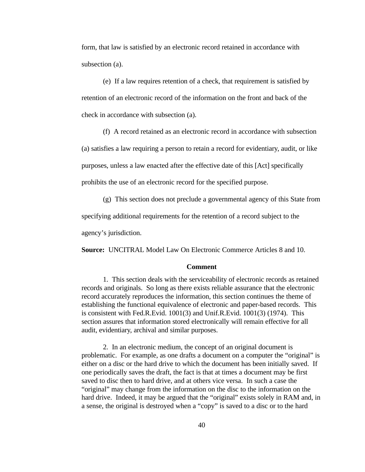form, that law is satisfied by an electronic record retained in accordance with subsection (a).

(e) If a law requires retention of a check, that requirement is satisfied by retention of an electronic record of the information on the front and back of the check in accordance with subsection (a).

(f) A record retained as an electronic record in accordance with subsection

(a) satisfies a law requiring a person to retain a record for evidentiary, audit, or like purposes, unless a law enacted after the effective date of this [Act] specifically prohibits the use of an electronic record for the specified purpose.

(g) This section does not preclude a governmental agency of this State from specifying additional requirements for the retention of a record subject to the agency's jurisdiction.

**Source:** UNCITRAL Model Law On Electronic Commerce Articles 8 and 10.

#### **Comment**

1. This section deals with the serviceability of electronic records as retained records and originals. So long as there exists reliable assurance that the electronic record accurately reproduces the information, this section continues the theme of establishing the functional equivalence of electronic and paper-based records. This is consistent with Fed.R.Evid. 1001(3) and Unif.R.Evid. 1001(3) (1974). This section assures that information stored electronically will remain effective for all audit, evidentiary, archival and similar purposes.

2. In an electronic medium, the concept of an original document is problematic. For example, as one drafts a document on a computer the "original" is either on a disc or the hard drive to which the document has been initially saved. If one periodically saves the draft, the fact is that at times a document may be first saved to disc then to hard drive, and at others vice versa. In such a case the "original" may change from the information on the disc to the information on the hard drive. Indeed, it may be argued that the "original" exists solely in RAM and, in a sense, the original is destroyed when a "copy" is saved to a disc or to the hard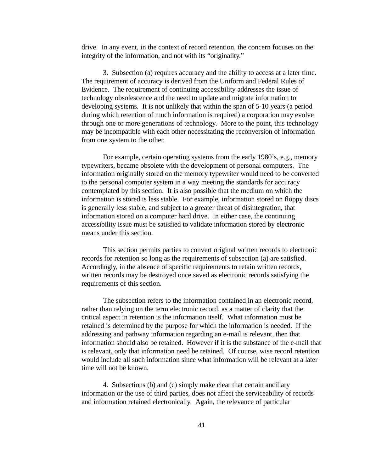drive. In any event, in the context of record retention, the concern focuses on the integrity of the information, and not with its "originality."

3. Subsection (a) requires accuracy and the ability to access at a later time. The requirement of accuracy is derived from the Uniform and Federal Rules of Evidence. The requirement of continuing accessibility addresses the issue of technology obsolescence and the need to update and migrate information to developing systems. It is not unlikely that within the span of 5-10 years (a period during which retention of much information is required) a corporation may evolve through one or more generations of technology. More to the point, this technology may be incompatible with each other necessitating the reconversion of information from one system to the other.

For example, certain operating systems from the early 1980's, e.g., memory typewriters, became obsolete with the development of personal computers. The information originally stored on the memory typewriter would need to be converted to the personal computer system in a way meeting the standards for accuracy contemplated by this section. It is also possible that the medium on which the information is stored is less stable. For example, information stored on floppy discs is generally less stable, and subject to a greater threat of disintegration, that information stored on a computer hard drive. In either case, the continuing accessibility issue must be satisfied to validate information stored by electronic means under this section.

This section permits parties to convert original written records to electronic records for retention so long as the requirements of subsection (a) are satisfied. Accordingly, in the absence of specific requirements to retain written records, written records may be destroyed once saved as electronic records satisfying the requirements of this section.

The subsection refers to the information contained in an electronic record, rather than relying on the term electronic record, as a matter of clarity that the critical aspect in retention is the information itself. What information must be retained is determined by the purpose for which the information is needed. If the addressing and pathway information regarding an e-mail is relevant, then that information should also be retained. However if it is the substance of the e-mail that is relevant, only that information need be retained. Of course, wise record retention would include all such information since what information will be relevant at a later time will not be known.

4. Subsections (b) and (c) simply make clear that certain ancillary information or the use of third parties, does not affect the serviceability of records and information retained electronically. Again, the relevance of particular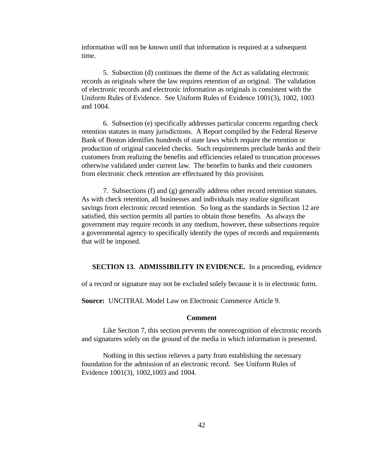information will not be known until that information is required at a subsequent time.

5. Subsection (d) continues the theme of the Act as validating electronic records as originals where the law requires retention of an original. The validation of electronic records and electronic information as originals is consistent with the Uniform Rules of Evidence. See Uniform Rules of Evidence 1001(3), 1002, 1003 and 1004.

6. Subsection (e) specifically addresses particular concerns regarding check retention statutes in many jurisdictions. A Report compiled by the Federal Reserve Bank of Boston identifies hundreds of state laws which require the retention or production of original canceled checks. Such requirements preclude banks and their customers from realizing the benefits and efficiencies related to truncation processes otherwise validated under current law. The benefits to banks and their customers from electronic check retention are effectuated by this provision.

7. Subsections (f) and (g) generally address other record retention statutes. As with check retention, all businesses and individuals may realize significant savings from electronic record retention. So long as the standards in Section 12 are satisfied, this section permits all parties to obtain those benefits. As always the government may require records in any medium, however, these subsections require a governmental agency to specifically identify the types of records and requirements that will be imposed.

# **SECTION 13. ADMISSIBILITY IN EVIDENCE.** In a proceeding, evidence

of a record or signature may not be excluded solely because it is in electronic form.

**Source:** UNCITRAL Model Law on Electronic Commerce Article 9.

#### **Comment**

Like Section 7, this section prevents the nonrecognition of electronic records and signatures solely on the ground of the media in which information is presented.

Nothing in this section relieves a party from establishing the necessary foundation for the admission of an electronic record. See Uniform Rules of Evidence 1001(3), 1002,1003 and 1004.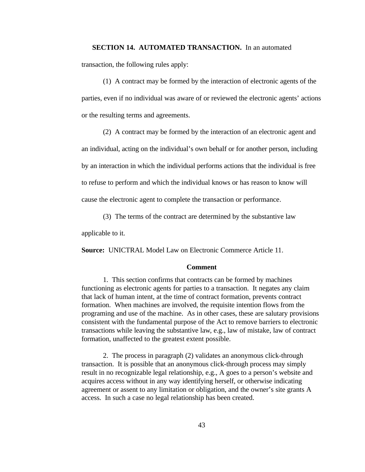# **SECTION 14. AUTOMATED TRANSACTION.** In an automated

transaction, the following rules apply:

(1) A contract may be formed by the interaction of electronic agents of the parties, even if no individual was aware of or reviewed the electronic agents' actions or the resulting terms and agreements.

(2) A contract may be formed by the interaction of an electronic agent and

an individual, acting on the individual's own behalf or for another person, including by an interaction in which the individual performs actions that the individual is free to refuse to perform and which the individual knows or has reason to know will cause the electronic agent to complete the transaction or performance.

(3) The terms of the contract are determined by the substantive law

applicable to it.

**Source:** UNICTRAL Model Law on Electronic Commerce Article 11.

# **Comment**

1. This section confirms that contracts can be formed by machines functioning as electronic agents for parties to a transaction. It negates any claim that lack of human intent, at the time of contract formation, prevents contract formation. When machines are involved, the requisite intention flows from the programing and use of the machine. As in other cases, these are salutary provisions consistent with the fundamental purpose of the Act to remove barriers to electronic transactions while leaving the substantive law, e.g., law of mistake, law of contract formation, unaffected to the greatest extent possible.

2. The process in paragraph (2) validates an anonymous click-through transaction. It is possible that an anonymous click-through process may simply result in no recognizable legal relationship, e.g., A goes to a person's website and acquires access without in any way identifying herself, or otherwise indicating agreement or assent to any limitation or obligation, and the owner's site grants A access. In such a case no legal relationship has been created.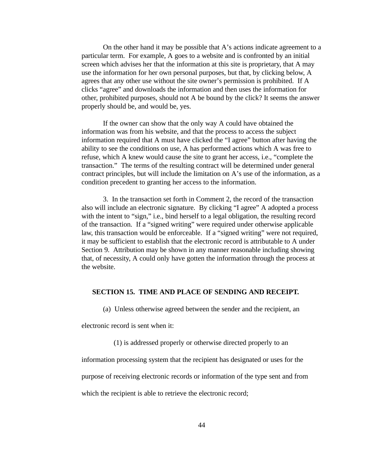On the other hand it may be possible that A's actions indicate agreement to a particular term. For example, A goes to a website and is confronted by an initial screen which advises her that the information at this site is proprietary, that A may use the information for her own personal purposes, but that, by clicking below, A agrees that any other use without the site owner's permission is prohibited. If A clicks "agree" and downloads the information and then uses the information for other, prohibited purposes, should not A be bound by the click? It seems the answer properly should be, and would be, yes.

If the owner can show that the only way A could have obtained the information was from his website, and that the process to access the subject information required that A must have clicked the "I agree" button after having the ability to see the conditions on use, A has performed actions which A was free to refuse, which A knew would cause the site to grant her access, i.e., "complete the transaction." The terms of the resulting contract will be determined under general contract principles, but will include the limitation on A's use of the information, as a condition precedent to granting her access to the information.

3. In the transaction set forth in Comment 2, the record of the transaction also will include an electronic signature. By clicking "I agree" A adopted a process with the intent to "sign," i.e., bind herself to a legal obligation, the resulting record of the transaction. If a "signed writing" were required under otherwise applicable law, this transaction would be enforceable. If a "signed writing" were not required, it may be sufficient to establish that the electronic record is attributable to A under Section 9. Attribution may be shown in any manner reasonable including showing that, of necessity, A could only have gotten the information through the process at the website.

# **SECTION 15. TIME AND PLACE OF SENDING AND RECEIPT.**

(a) Unless otherwise agreed between the sender and the recipient, an

electronic record is sent when it:

(1) is addressed properly or otherwise directed properly to an

information processing system that the recipient has designated or uses for the

purpose of receiving electronic records or information of the type sent and from

which the recipient is able to retrieve the electronic record;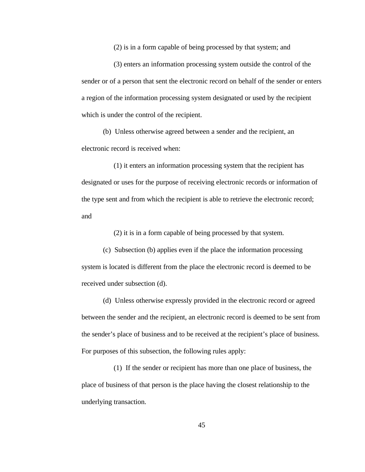(2) is in a form capable of being processed by that system; and

(3) enters an information processing system outside the control of the sender or of a person that sent the electronic record on behalf of the sender or enters a region of the information processing system designated or used by the recipient which is under the control of the recipient.

(b) Unless otherwise agreed between a sender and the recipient, an electronic record is received when:

(1) it enters an information processing system that the recipient has designated or uses for the purpose of receiving electronic records or information of the type sent and from which the recipient is able to retrieve the electronic record; and

(2) it is in a form capable of being processed by that system.

(c) Subsection (b) applies even if the place the information processing system is located is different from the place the electronic record is deemed to be received under subsection (d).

(d) Unless otherwise expressly provided in the electronic record or agreed between the sender and the recipient, an electronic record is deemed to be sent from the sender's place of business and to be received at the recipient's place of business. For purposes of this subsection, the following rules apply:

(1) If the sender or recipient has more than one place of business, the place of business of that person is the place having the closest relationship to the underlying transaction.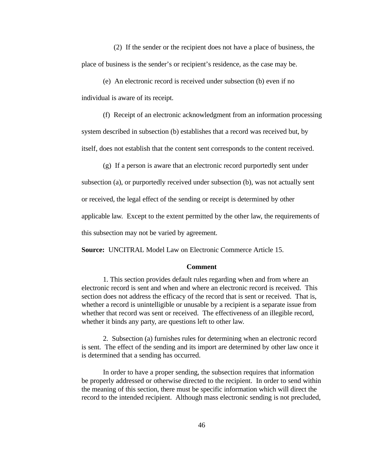(2) If the sender or the recipient does not have a place of business, the place of business is the sender's or recipient's residence, as the case may be.

(e) An electronic record is received under subsection (b) even if no individual is aware of its receipt.

(f) Receipt of an electronic acknowledgment from an information processing

system described in subsection (b) establishes that a record was received but, by

itself, does not establish that the content sent corresponds to the content received.

(g) If a person is aware that an electronic record purportedly sent under

subsection (a), or purportedly received under subsection (b), was not actually sent

or received, the legal effect of the sending or receipt is determined by other

applicable law. Except to the extent permitted by the other law, the requirements of

this subsection may not be varied by agreement.

**Source:** UNCITRAL Model Law on Electronic Commerce Article 15.

# **Comment**

1. This section provides default rules regarding when and from where an electronic record is sent and when and where an electronic record is received. This section does not address the efficacy of the record that is sent or received. That is, whether a record is unintelligible or unusable by a recipient is a separate issue from whether that record was sent or received. The effectiveness of an illegible record, whether it binds any party, are questions left to other law.

2. Subsection (a) furnishes rules for determining when an electronic record is sent. The effect of the sending and its import are determined by other law once it is determined that a sending has occurred.

In order to have a proper sending, the subsection requires that information be properly addressed or otherwise directed to the recipient. In order to send within the meaning of this section, there must be specific information which will direct the record to the intended recipient. Although mass electronic sending is not precluded,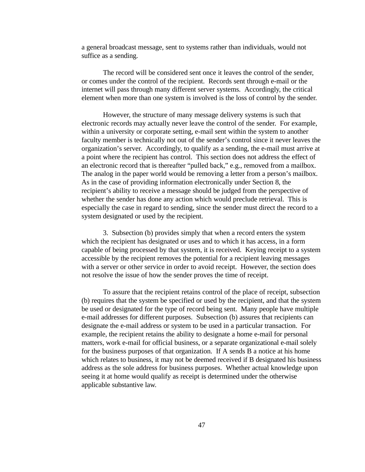a general broadcast message, sent to systems rather than individuals, would not suffice as a sending.

The record will be considered sent once it leaves the control of the sender, or comes under the control of the recipient. Records sent through e-mail or the internet will pass through many different server systems. Accordingly, the critical element when more than one system is involved is the loss of control by the sender.

However, the structure of many message delivery systems is such that electronic records may actually never leave the control of the sender. For example, within a university or corporate setting, e-mail sent within the system to another faculty member is technically not out of the sender's control since it never leaves the organization's server. Accordingly, to qualify as a sending, the e-mail must arrive at a point where the recipient has control. This section does not address the effect of an electronic record that is thereafter "pulled back," e.g., removed from a mailbox. The analog in the paper world would be removing a letter from a person's mailbox. As in the case of providing information electronically under Section 8, the recipient's ability to receive a message should be judged from the perspective of whether the sender has done any action which would preclude retrieval. This is especially the case in regard to sending, since the sender must direct the record to a system designated or used by the recipient.

3. Subsection (b) provides simply that when a record enters the system which the recipient has designated or uses and to which it has access, in a form capable of being processed by that system, it is received. Keying receipt to a system accessible by the recipient removes the potential for a recipient leaving messages with a server or other service in order to avoid receipt. However, the section does not resolve the issue of how the sender proves the time of receipt.

To assure that the recipient retains control of the place of receipt, subsection (b) requires that the system be specified or used by the recipient, and that the system be used or designated for the type of record being sent. Many people have multiple e-mail addresses for different purposes. Subsection (b) assures that recipients can designate the e-mail address or system to be used in a particular transaction. For example, the recipient retains the ability to designate a home e-mail for personal matters, work e-mail for official business, or a separate organizational e-mail solely for the business purposes of that organization. If A sends B a notice at his home which relates to business, it may not be deemed received if B designated his business address as the sole address for business purposes. Whether actual knowledge upon seeing it at home would qualify as receipt is determined under the otherwise applicable substantive law.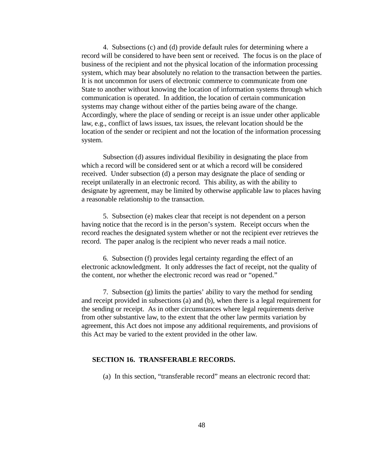4. Subsections (c) and (d) provide default rules for determining where a record will be considered to have been sent or received. The focus is on the place of business of the recipient and not the physical location of the information processing system, which may bear absolutely no relation to the transaction between the parties. It is not uncommon for users of electronic commerce to communicate from one State to another without knowing the location of information systems through which communication is operated. In addition, the location of certain communication systems may change without either of the parties being aware of the change. Accordingly, where the place of sending or receipt is an issue under other applicable law, e.g., conflict of laws issues, tax issues, the relevant location should be the location of the sender or recipient and not the location of the information processing system.

Subsection (d) assures individual flexibility in designating the place from which a record will be considered sent or at which a record will be considered received. Under subsection (d) a person may designate the place of sending or receipt unilaterally in an electronic record. This ability, as with the ability to designate by agreement, may be limited by otherwise applicable law to places having a reasonable relationship to the transaction.

5. Subsection (e) makes clear that receipt is not dependent on a person having notice that the record is in the person's system. Receipt occurs when the record reaches the designated system whether or not the recipient ever retrieves the record. The paper analog is the recipient who never reads a mail notice.

6. Subsection (f) provides legal certainty regarding the effect of an electronic acknowledgment. It only addresses the fact of receipt, not the quality of the content, nor whether the electronic record was read or "opened."

7. Subsection (g) limits the parties' ability to vary the method for sending and receipt provided in subsections (a) and (b), when there is a legal requirement for the sending or receipt. As in other circumstances where legal requirements derive from other substantive law, to the extent that the other law permits variation by agreement, this Act does not impose any additional requirements, and provisions of this Act may be varied to the extent provided in the other law.

# **SECTION 16. TRANSFERABLE RECORDS.**

(a) In this section, "transferable record" means an electronic record that: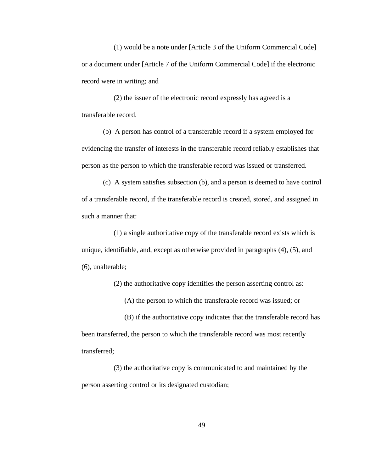(1) would be a note under [Article 3 of the Uniform Commercial Code] or a document under [Article 7 of the Uniform Commercial Code] if the electronic record were in writing; and

(2) the issuer of the electronic record expressly has agreed is a transferable record.

(b) A person has control of a transferable record if a system employed for evidencing the transfer of interests in the transferable record reliably establishes that person as the person to which the transferable record was issued or transferred.

(c) A system satisfies subsection (b), and a person is deemed to have control of a transferable record, if the transferable record is created, stored, and assigned in such a manner that:

(1) a single authoritative copy of the transferable record exists which is unique, identifiable, and, except as otherwise provided in paragraphs (4), (5), and (6), unalterable;

(2) the authoritative copy identifies the person asserting control as:

(A) the person to which the transferable record was issued; or

(B) if the authoritative copy indicates that the transferable record has been transferred, the person to which the transferable record was most recently transferred;

(3) the authoritative copy is communicated to and maintained by the person asserting control or its designated custodian;

49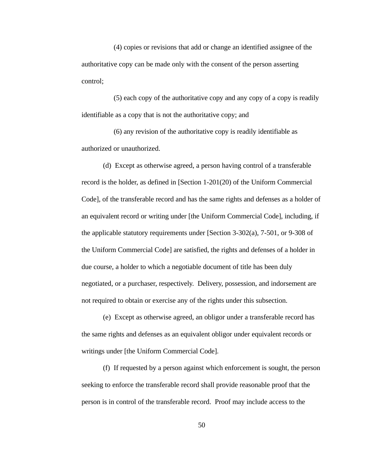(4) copies or revisions that add or change an identified assignee of the authoritative copy can be made only with the consent of the person asserting control;

(5) each copy of the authoritative copy and any copy of a copy is readily identifiable as a copy that is not the authoritative copy; and

(6) any revision of the authoritative copy is readily identifiable as authorized or unauthorized.

(d) Except as otherwise agreed, a person having control of a transferable record is the holder, as defined in [Section 1-201(20) of the Uniform Commercial Code], of the transferable record and has the same rights and defenses as a holder of an equivalent record or writing under [the Uniform Commercial Code], including, if the applicable statutory requirements under [Section 3-302(a), 7-501, or 9-308 of the Uniform Commercial Code] are satisfied, the rights and defenses of a holder in due course, a holder to which a negotiable document of title has been duly negotiated, or a purchaser, respectively. Delivery, possession, and indorsement are not required to obtain or exercise any of the rights under this subsection.

(e) Except as otherwise agreed, an obligor under a transferable record has the same rights and defenses as an equivalent obligor under equivalent records or writings under [the Uniform Commercial Code].

(f) If requested by a person against which enforcement is sought, the person seeking to enforce the transferable record shall provide reasonable proof that the person is in control of the transferable record. Proof may include access to the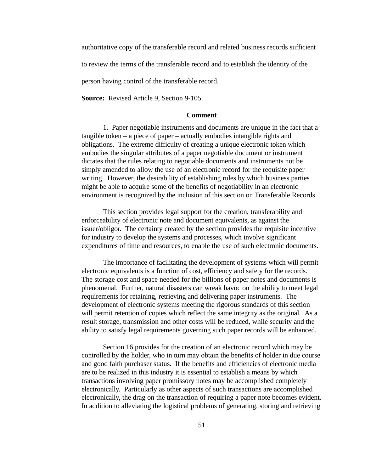authoritative copy of the transferable record and related business records sufficient

to review the terms of the transferable record and to establish the identity of the

person having control of the transferable record.

**Source:** Revised Article 9, Section 9-105.

# **Comment**

1. Paper negotiable instruments and documents are unique in the fact that a tangible token – a piece of paper – actually embodies intangible rights and obligations. The extreme difficulty of creating a unique electronic token which embodies the singular attributes of a paper negotiable document or instrument dictates that the rules relating to negotiable documents and instruments not be simply amended to allow the use of an electronic record for the requisite paper writing. However, the desirability of establishing rules by which business parties might be able to acquire some of the benefits of negotiability in an electronic environment is recognized by the inclusion of this section on Transferable Records.

This section provides legal support for the creation, transferability and enforceability of electronic note and document equivalents, as against the issuer/obligor. The certainty created by the section provides the requisite incentive for industry to develop the systems and processes, which involve significant expenditures of time and resources, to enable the use of such electronic documents.

The importance of facilitating the development of systems which will permit electronic equivalents is a function of cost, efficiency and safety for the records. The storage cost and space needed for the billions of paper notes and documents is phenomenal. Further, natural disasters can wreak havoc on the ability to meet legal requirements for retaining, retrieving and delivering paper instruments. The development of electronic systems meeting the rigorous standards of this section will permit retention of copies which reflect the same integrity as the original. As a result storage, transmission and other costs will be reduced, while security and the ability to satisfy legal requirements governing such paper records will be enhanced.

Section 16 provides for the creation of an electronic record which may be controlled by the holder, who in turn may obtain the benefits of holder in due course and good faith purchaser status. If the benefits and efficiencies of electronic media are to be realized in this industry it is essential to establish a means by which transactions involving paper promissory notes may be accomplished completely electronically. Particularly as other aspects of such transactions are accomplished electronically, the drag on the transaction of requiring a paper note becomes evident. In addition to alleviating the logistical problems of generating, storing and retrieving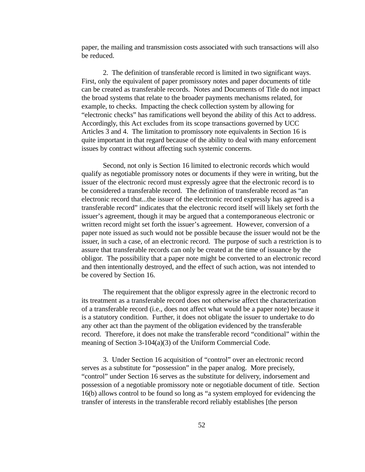paper, the mailing and transmission costs associated with such transactions will also be reduced.

2. The definition of transferable record is limited in two significant ways. First, only the equivalent of paper promissory notes and paper documents of title can be created as transferable records. Notes and Documents of Title do not impact the broad systems that relate to the broader payments mechanisms related, for example, to checks. Impacting the check collection system by allowing for "electronic checks" has ramifications well beyond the ability of this Act to address. Accordingly, this Act excludes from its scope transactions governed by UCC Articles 3 and 4. The limitation to promissory note equivalents in Section 16 is quite important in that regard because of the ability to deal with many enforcement issues by contract without affecting such systemic concerns.

Second, not only is Section 16 limited to electronic records which would qualify as negotiable promissory notes or documents if they were in writing, but the issuer of the electronic record must expressly agree that the electronic record is to be considered a transferable record. The definition of transferable record as "an electronic record that...the issuer of the electronic record expressly has agreed is a transferable record" indicates that the electronic record itself will likely set forth the issuer's agreement, though it may be argued that a contemporaneous electronic or written record might set forth the issuer's agreement. However, conversion of a paper note issued as such would not be possible because the issuer would not be the issuer, in such a case, of an electronic record. The purpose of such a restriction is to assure that transferable records can only be created at the time of issuance by the obligor. The possibility that a paper note might be converted to an electronic record and then intentionally destroyed, and the effect of such action, was not intended to be covered by Section 16.

The requirement that the obligor expressly agree in the electronic record to its treatment as a transferable record does not otherwise affect the characterization of a transferable record (i.e., does not affect what would be a paper note) because it is a statutory condition. Further, it does not obligate the issuer to undertake to do any other act than the payment of the obligation evidenced by the transferable record. Therefore, it does not make the transferable record "conditional" within the meaning of Section 3-104(a)(3) of the Uniform Commercial Code.

3. Under Section 16 acquisition of "control" over an electronic record serves as a substitute for "possession" in the paper analog. More precisely, "control" under Section 16 serves as the substitute for delivery, indorsement and possession of a negotiable promissory note or negotiable document of title. Section 16(b) allows control to be found so long as "a system employed for evidencing the transfer of interests in the transferable record reliably establishes [the person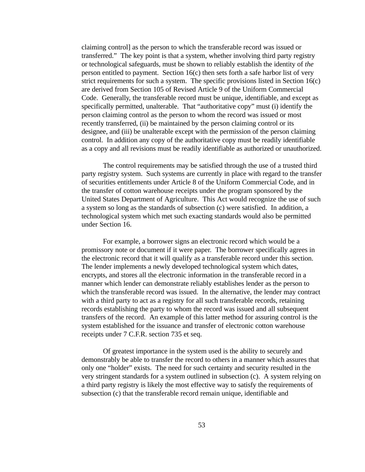claiming control] as the person to which the transferable record was issued or transferred." The key point is that a system, whether involving third party registry or technological safeguards, must be shown to reliably establish the identity of *the* person entitled to payment. Section 16(c) then sets forth a safe harbor list of very strict requirements for such a system. The specific provisions listed in Section 16(c) are derived from Section 105 of Revised Article 9 of the Uniform Commercial Code. Generally, the transferable record must be unique, identifiable, and except as specifically permitted, unalterable. That "authoritative copy" must (i) identify the person claiming control as the person to whom the record was issued or most recently transferred, (ii) be maintained by the person claiming control or its designee, and (iii) be unalterable except with the permission of the person claiming control. In addition any copy of the authoritative copy must be readily identifiable as a copy and all revisions must be readily identifiable as authorized or unauthorized.

The control requirements may be satisfied through the use of a trusted third party registry system. Such systems are currently in place with regard to the transfer of securities entitlements under Article 8 of the Uniform Commercial Code, and in the transfer of cotton warehouse receipts under the program sponsored by the United States Department of Agriculture. This Act would recognize the use of such a system so long as the standards of subsection (c) were satisfied. In addition, a technological system which met such exacting standards would also be permitted under Section 16.

For example, a borrower signs an electronic record which would be a promissory note or document if it were paper. The borrower specifically agrees in the electronic record that it will qualify as a transferable record under this section. The lender implements a newly developed technological system which dates, encrypts, and stores all the electronic information in the transferable record in a manner which lender can demonstrate reliably establishes lender as the person to which the transferable record was issued. In the alternative, the lender may contract with a third party to act as a registry for all such transferable records, retaining records establishing the party to whom the record was issued and all subsequent transfers of the record. An example of this latter method for assuring control is the system established for the issuance and transfer of electronic cotton warehouse receipts under 7 C.F.R. section 735 et seq.

Of greatest importance in the system used is the ability to securely and demonstrably be able to transfer the record to others in a manner which assures that only one "holder" exists. The need for such certainty and security resulted in the very stringent standards for a system outlined in subsection (c). A system relying on a third party registry is likely the most effective way to satisfy the requirements of subsection (c) that the transferable record remain unique, identifiable and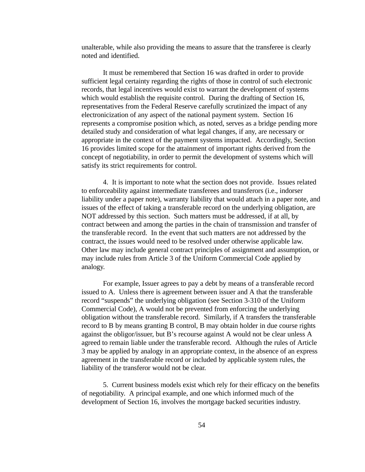unalterable, while also providing the means to assure that the transferee is clearly noted and identified.

It must be remembered that Section 16 was drafted in order to provide sufficient legal certainty regarding the rights of those in control of such electronic records, that legal incentives would exist to warrant the development of systems which would establish the requisite control. During the drafting of Section 16, representatives from the Federal Reserve carefully scrutinized the impact of any electronicization of any aspect of the national payment system. Section 16 represents a compromise position which, as noted, serves as a bridge pending more detailed study and consideration of what legal changes, if any, are necessary or appropriate in the context of the payment systems impacted. Accordingly, Section 16 provides limited scope for the attainment of important rights derived from the concept of negotiability, in order to permit the development of systems which will satisfy its strict requirements for control.

4. It is important to note what the section does not provide. Issues related to enforceability against intermediate transferees and transferors (i.e., indorser liability under a paper note), warranty liability that would attach in a paper note, and issues of the effect of taking a transferable record on the underlying obligation, are NOT addressed by this section. Such matters must be addressed, if at all, by contract between and among the parties in the chain of transmission and transfer of the transferable record. In the event that such matters are not addressed by the contract, the issues would need to be resolved under otherwise applicable law. Other law may include general contract principles of assignment and assumption, or may include rules from Article 3 of the Uniform Commercial Code applied by analogy.

For example, Issuer agrees to pay a debt by means of a transferable record issued to A. Unless there is agreement between issuer and A that the transferable record "suspends" the underlying obligation (see Section 3-310 of the Uniform Commercial Code), A would not be prevented from enforcing the underlying obligation without the transferable record. Similarly, if A transfers the transferable record to B by means granting B control, B may obtain holder in due course rights against the obligor/issuer, but B's recourse against A would not be clear unless A agreed to remain liable under the transferable record. Although the rules of Article 3 may be applied by analogy in an appropriate context, in the absence of an express agreement in the transferable record or included by applicable system rules, the liability of the transferor would not be clear.

5. Current business models exist which rely for their efficacy on the benefits of negotiability. A principal example, and one which informed much of the development of Section 16, involves the mortgage backed securities industry.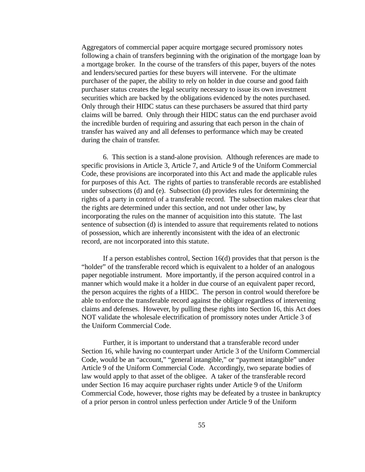Aggregators of commercial paper acquire mortgage secured promissory notes following a chain of transfers beginning with the origination of the mortgage loan by a mortgage broker. In the course of the transfers of this paper, buyers of the notes and lenders/secured parties for these buyers will intervene. For the ultimate purchaser of the paper, the ability to rely on holder in due course and good faith purchaser status creates the legal security necessary to issue its own investment securities which are backed by the obligations evidenced by the notes purchased. Only through their HIDC status can these purchasers be assured that third party claims will be barred. Only through their HIDC status can the end purchaser avoid the incredible burden of requiring and assuring that each person in the chain of transfer has waived any and all defenses to performance which may be created during the chain of transfer.

6. This section is a stand-alone provision. Although references are made to specific provisions in Article 3, Article 7, and Article 9 of the Uniform Commercial Code, these provisions are incorporated into this Act and made the applicable rules for purposes of this Act. The rights of parties to transferable records are established under subsections (d) and (e). Subsection (d) provides rules for determining the rights of a party in control of a transferable record. The subsection makes clear that the rights are determined under this section, and not under other law, by incorporating the rules on the manner of acquisition into this statute. The last sentence of subsection (d) is intended to assure that requirements related to notions of possession, which are inherently inconsistent with the idea of an electronic record, are not incorporated into this statute.

If a person establishes control, Section 16(d) provides that that person is the "holder" of the transferable record which is equivalent to a holder of an analogous paper negotiable instrument. More importantly, if the person acquired control in a manner which would make it a holder in due course of an equivalent paper record, the person acquires the rights of a HIDC. The person in control would therefore be able to enforce the transferable record against the obligor regardless of intervening claims and defenses. However, by pulling these rights into Section 16, this Act does NOT validate the wholesale electrification of promissory notes under Article 3 of the Uniform Commercial Code.

Further, it is important to understand that a transferable record under Section 16, while having no counterpart under Article 3 of the Uniform Commercial Code, would be an "account," "general intangible," or "payment intangible" under Article 9 of the Uniform Commercial Code. Accordingly, two separate bodies of law would apply to that asset of the obligee. A taker of the transferable record under Section 16 may acquire purchaser rights under Article 9 of the Uniform Commercial Code, however, those rights may be defeated by a trustee in bankruptcy of a prior person in control unless perfection under Article 9 of the Uniform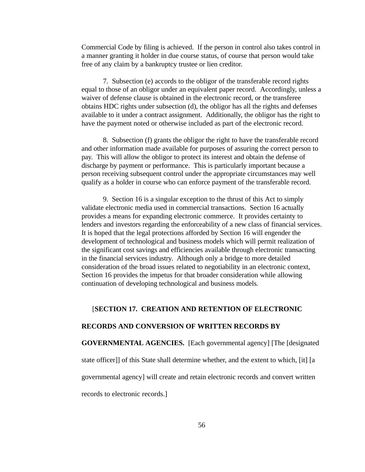Commercial Code by filing is achieved. If the person in control also takes control in a manner granting it holder in due course status, of course that person would take free of any claim by a bankruptcy trustee or lien creditor.

7. Subsection (e) accords to the obligor of the transferable record rights equal to those of an obligor under an equivalent paper record. Accordingly, unless a waiver of defense clause is obtained in the electronic record, or the transferee obtains HDC rights under subsection (d), the obligor has all the rights and defenses available to it under a contract assignment. Additionally, the obligor has the right to have the payment noted or otherwise included as part of the electronic record.

8. Subsection (f) grants the obligor the right to have the transferable record and other information made available for purposes of assuring the correct person to pay. This will allow the obligor to protect its interest and obtain the defense of discharge by payment or performance. This is particularly important because a person receiving subsequent control under the appropriate circumstances may well qualify as a holder in course who can enforce payment of the transferable record.

9. Section 16 is a singular exception to the thrust of this Act to simply validate electronic media used in commercial transactions. Section 16 actually provides a means for expanding electronic commerce. It provides certainty to lenders and investors regarding the enforceability of a new class of financial services. It is hoped that the legal protections afforded by Section 16 will engender the development of technological and business models which will permit realization of the significant cost savings and efficiencies available through electronic transacting in the financial services industry. Although only a bridge to more detailed consideration of the broad issues related to negotiability in an electronic context, Section 16 provides the impetus for that broader consideration while allowing continuation of developing technological and business models.

# [**SECTION 17. CREATION AND RETENTION OF ELECTRONIC**

### **RECORDS AND CONVERSION OF WRITTEN RECORDS BY**

**GOVERNMENTAL AGENCIES.** [Each governmental agency] [The [designated state officer]] of this State shall determine whether, and the extent to which, [it] [a governmental agency] will create and retain electronic records and convert written records to electronic records.]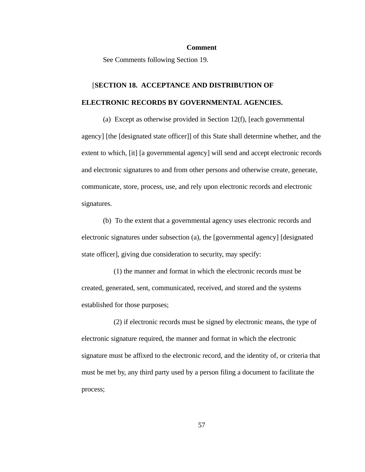#### **Comment**

See Comments following Section 19.

# [**SECTION 18. ACCEPTANCE AND DISTRIBUTION OF ELECTRONIC RECORDS BY GOVERNMENTAL AGENCIES.**

(a) Except as otherwise provided in Section 12(f), [each governmental agency] [the [designated state officer]] of this State shall determine whether, and the extent to which, [it] [a governmental agency] will send and accept electronic records and electronic signatures to and from other persons and otherwise create, generate, communicate, store, process, use, and rely upon electronic records and electronic signatures.

(b) To the extent that a governmental agency uses electronic records and electronic signatures under subsection (a), the [governmental agency] [designated state officer], giving due consideration to security, may specify:

(1) the manner and format in which the electronic records must be created, generated, sent, communicated, received, and stored and the systems established for those purposes;

(2) if electronic records must be signed by electronic means, the type of electronic signature required, the manner and format in which the electronic signature must be affixed to the electronic record, and the identity of, or criteria that must be met by, any third party used by a person filing a document to facilitate the process;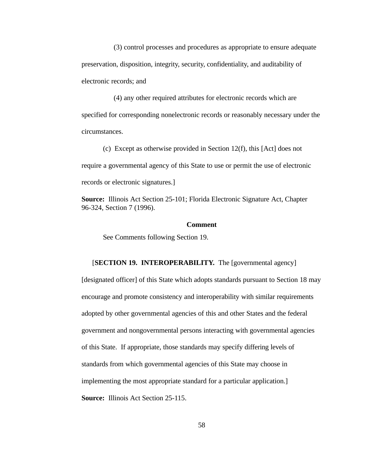(3) control processes and procedures as appropriate to ensure adequate preservation, disposition, integrity, security, confidentiality, and auditability of electronic records; and

(4) any other required attributes for electronic records which are specified for corresponding nonelectronic records or reasonably necessary under the circumstances.

(c) Except as otherwise provided in Section 12(f), this [Act] does not require a governmental agency of this State to use or permit the use of electronic records or electronic signatures.]

**Source:** Illinois Act Section 25-101; Florida Electronic Signature Act, Chapter 96-324, Section 7 (1996).

#### **Comment**

See Comments following Section 19.

#### [**SECTION 19. INTEROPERABILITY.** The [governmental agency]

[designated officer] of this State which adopts standards pursuant to Section 18 may encourage and promote consistency and interoperability with similar requirements adopted by other governmental agencies of this and other States and the federal government and nongovernmental persons interacting with governmental agencies of this State. If appropriate, those standards may specify differing levels of standards from which governmental agencies of this State may choose in implementing the most appropriate standard for a particular application.] **Source:** Illinois Act Section 25-115.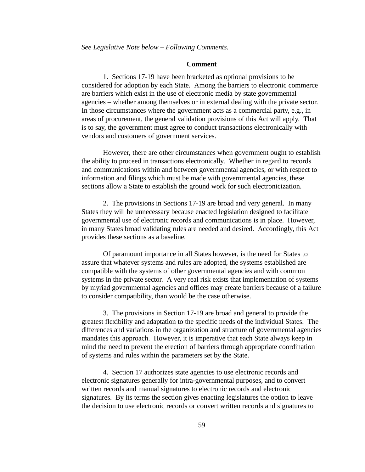#### **Comment**

1. Sections 17-19 have been bracketed as optional provisions to be considered for adoption by each State. Among the barriers to electronic commerce are barriers which exist in the use of electronic media by state governmental agencies – whether among themselves or in external dealing with the private sector. In those circumstances where the government acts as a commercial party, e.g., in areas of procurement, the general validation provisions of this Act will apply. That is to say, the government must agree to conduct transactions electronically with vendors and customers of government services.

However, there are other circumstances when government ought to establish the ability to proceed in transactions electronically. Whether in regard to records and communications within and between governmental agencies, or with respect to information and filings which must be made with governmental agencies, these sections allow a State to establish the ground work for such electronicization.

2. The provisions in Sections 17-19 are broad and very general. In many States they will be unnecessary because enacted legislation designed to facilitate governmental use of electronic records and communications is in place. However, in many States broad validating rules are needed and desired. Accordingly, this Act provides these sections as a baseline.

Of paramount importance in all States however, is the need for States to assure that whatever systems and rules are adopted, the systems established are compatible with the systems of other governmental agencies and with common systems in the private sector. A very real risk exists that implementation of systems by myriad governmental agencies and offices may create barriers because of a failure to consider compatibility, than would be the case otherwise.

3. The provisions in Section 17-19 are broad and general to provide the greatest flexibility and adaptation to the specific needs of the individual States. The differences and variations in the organization and structure of governmental agencies mandates this approach. However, it is imperative that each State always keep in mind the need to prevent the erection of barriers through appropriate coordination of systems and rules within the parameters set by the State.

4. Section 17 authorizes state agencies to use electronic records and electronic signatures generally for intra-governmental purposes, and to convert written records and manual signatures to electronic records and electronic signatures. By its terms the section gives enacting legislatures the option to leave the decision to use electronic records or convert written records and signatures to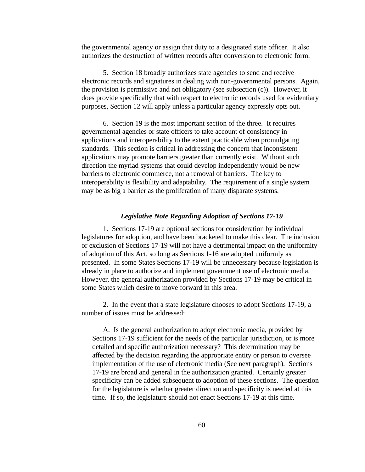the governmental agency or assign that duty to a designated state officer. It also authorizes the destruction of written records after conversion to electronic form.

5. Section 18 broadly authorizes state agencies to send and receive electronic records and signatures in dealing with non-governmental persons. Again, the provision is permissive and not obligatory (see subsection (c)). However, it does provide specifically that with respect to electronic records used for evidentiary purposes, Section 12 will apply unless a particular agency expressly opts out.

6. Section 19 is the most important section of the three. It requires governmental agencies or state officers to take account of consistency in applications and interoperability to the extent practicable when promulgating standards. This section is critical in addressing the concern that inconsistent applications may promote barriers greater than currently exist. Without such direction the myriad systems that could develop independently would be new barriers to electronic commerce, not a removal of barriers. The key to interoperability is flexibility and adaptability. The requirement of a single system may be as big a barrier as the proliferation of many disparate systems.

# *Legislative Note Regarding Adoption of Sections 17-19*

1. Sections 17-19 are optional sections for consideration by individual legislatures for adoption, and have been bracketed to make this clear. The inclusion or exclusion of Sections 17-19 will not have a detrimental impact on the uniformity of adoption of this Act, so long as Sections 1-16 are adopted uniformly as presented. In some States Sections 17-19 will be unnecessary because legislation is already in place to authorize and implement government use of electronic media. However, the general authorization provided by Sections 17-19 may be critical in some States which desire to move forward in this area.

2. In the event that a state legislature chooses to adopt Sections 17-19, a number of issues must be addressed:

A. Is the general authorization to adopt electronic media, provided by Sections 17-19 sufficient for the needs of the particular jurisdiction, or is more detailed and specific authorization necessary? This determination may be affected by the decision regarding the appropriate entity or person to oversee implementation of the use of electronic media (See next paragraph). Sections 17-19 are broad and general in the authorization granted. Certainly greater specificity can be added subsequent to adoption of these sections. The question for the legislature is whether greater direction and specificity is needed at this time. If so, the legislature should not enact Sections 17-19 at this time.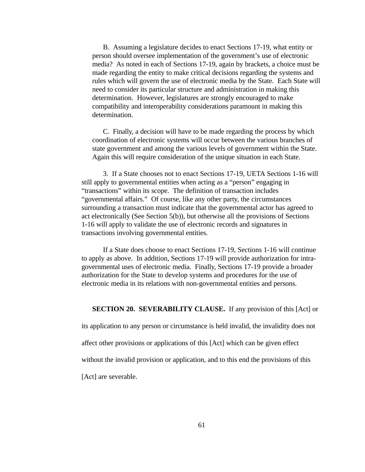B. Assuming a legislature decides to enact Sections 17-19, what entity or person should oversee implementation of the government's use of electronic media? As noted in each of Sections 17-19, again by brackets, a choice must be made regarding the entity to make critical decisions regarding the systems and rules which will govern the use of electronic media by the State. Each State will need to consider its particular structure and administration in making this determination. However, legislatures are strongly encouraged to make compatibility and interoperability considerations paramount in making this determination.

C. Finally, a decision will have to be made regarding the process by which coordination of electronic systems will occur between the various branches of state government and among the various levels of government within the State. Again this will require consideration of the unique situation in each State.

3. If a State chooses not to enact Sections 17-19, UETA Sections 1-16 will still apply to governmental entities when acting as a "person" engaging in "transactions" within its scope. The definition of transaction includes "governmental affairs." Of course, like any other party, the circumstances surrounding a transaction must indicate that the governmental actor has agreed to act electronically (See Section 5(b)), but otherwise all the provisions of Sections 1-16 will apply to validate the use of electronic records and signatures in transactions involving governmental entities.

If a State does choose to enact Sections 17-19, Sections 1-16 will continue to apply as above. In addition, Sections 17-19 will provide authorization for intragovernmental uses of electronic media. Finally, Sections 17-19 provide a broader authorization for the State to develop systems and procedures for the use of electronic media in its relations with non-governmental entities and persons.

# **SECTION 20. SEVERABILITY CLAUSE.** If any provision of this [Act] or

its application to any person or circumstance is held invalid, the invalidity does not

affect other provisions or applications of this [Act] which can be given effect

without the invalid provision or application, and to this end the provisions of this

[Act] are severable.